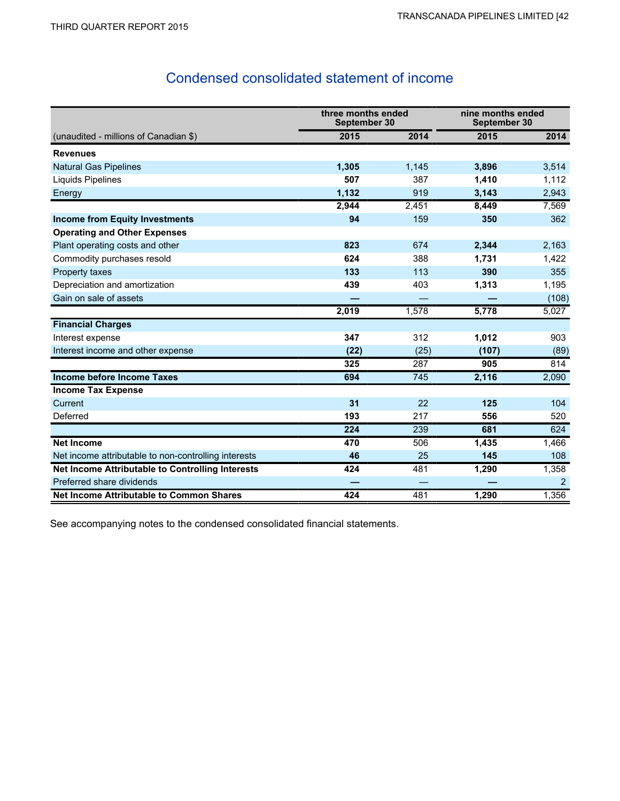## Condensed consolidated statement of income

|                                                      | three months ended<br>September 30 |       | nine months ended<br>September 30 |       |
|------------------------------------------------------|------------------------------------|-------|-----------------------------------|-------|
| (unaudited - millions of Canadian \$)                | 2015                               | 2014  | 2015                              | 2014  |
| <b>Revenues</b>                                      |                                    |       |                                   |       |
| <b>Natural Gas Pipelines</b>                         | 1,305                              | 1,145 | 3,896                             | 3,514 |
| <b>Liquids Pipelines</b>                             | 507                                | 387   | 1,410                             | 1,112 |
| Energy                                               | 1,132                              | 919   | 3,143                             | 2,943 |
|                                                      | 2,944                              | 2,451 | 8,449                             | 7,569 |
| <b>Income from Equity Investments</b>                | 94                                 | 159   | 350                               | 362   |
| <b>Operating and Other Expenses</b>                  |                                    |       |                                   |       |
| Plant operating costs and other                      | 823                                | 674   | 2,344                             | 2,163 |
| Commodity purchases resold                           | 624                                | 388   | 1,731                             | 1,422 |
| Property taxes                                       | 133                                | 113   | 390                               | 355   |
| Depreciation and amortization                        | 439                                | 403   | 1,313                             | 1,195 |
| Gain on sale of assets                               |                                    |       |                                   | (108) |
|                                                      | 2,019                              | 1,578 | 5,778                             | 5,027 |
| <b>Financial Charges</b>                             |                                    |       |                                   |       |
| Interest expense                                     | 347                                | 312   | 1,012                             | 903   |
| Interest income and other expense                    | (22)                               | (25)  | (107)                             | (89)  |
|                                                      | 325                                | 287   | 905                               | 814   |
| <b>Income before Income Taxes</b>                    | 694                                | 745   | 2,116                             | 2,090 |
| <b>Income Tax Expense</b>                            |                                    |       |                                   |       |
| Current                                              | 31                                 | 22    | 125                               | 104   |
| Deferred                                             | 193                                | 217   | 556                               | 520   |
|                                                      | 224                                | 239   | 681                               | 624   |
| <b>Net Income</b>                                    | 470                                | 506   | 1,435                             | 1,466 |
| Net income attributable to non-controlling interests | 46                                 | 25    | 145                               | 108   |
| Net Income Attributable to Controlling Interests     | 424                                | 481   | 1,290                             | 1,358 |
| Preferred share dividends                            |                                    |       |                                   | 2     |
| <b>Net Income Attributable to Common Shares</b>      | 424                                | 481   | 1,290                             | 1,356 |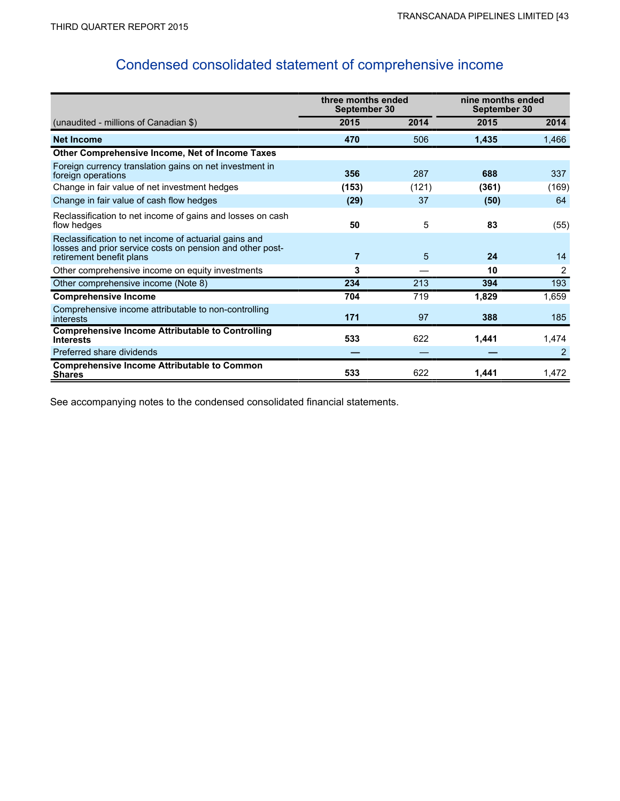# Condensed consolidated statement of comprehensive income

|                                                                                                                                                | three months ended<br>September 30 |       | nine months ended<br>September 30 |       |  |
|------------------------------------------------------------------------------------------------------------------------------------------------|------------------------------------|-------|-----------------------------------|-------|--|
| (unaudited - millions of Canadian \$)                                                                                                          | 2015                               | 2014  | 2015                              | 2014  |  |
| <b>Net Income</b>                                                                                                                              | 470                                | 506   | 1,435                             | 1,466 |  |
| Other Comprehensive Income, Net of Income Taxes                                                                                                |                                    |       |                                   |       |  |
| Foreign currency translation gains on net investment in<br>foreign operations                                                                  | 356                                | 287   | 688                               | 337   |  |
| Change in fair value of net investment hedges                                                                                                  | (153)                              | (121) | (361)                             | (169) |  |
| Change in fair value of cash flow hedges                                                                                                       | (29)                               | 37    | (50)                              | 64    |  |
| Reclassification to net income of gains and losses on cash<br>flow hedges                                                                      | 50                                 | 5     | 83                                | (55)  |  |
| Reclassification to net income of actuarial gains and<br>losses and prior service costs on pension and other post-<br>retirement benefit plans | $\overline{7}$                     | 5     | 24                                | 14    |  |
| Other comprehensive income on equity investments                                                                                               | 3                                  |       | 10                                | 2     |  |
| Other comprehensive income (Note 8)                                                                                                            | 234                                | 213   | 394                               | 193   |  |
| <b>Comprehensive Income</b>                                                                                                                    | 704                                | 719   | 1,829                             | 1,659 |  |
| Comprehensive income attributable to non-controlling<br>interests                                                                              | 171                                | 97    | 388                               | 185   |  |
| <b>Comprehensive Income Attributable to Controlling</b><br><b>Interests</b>                                                                    | 533                                | 622   | 1,441                             | 1,474 |  |
| Preferred share dividends                                                                                                                      |                                    |       |                                   | 2     |  |
| <b>Comprehensive Income Attributable to Common</b><br><b>Shares</b>                                                                            | 533                                | 622   | 1,441                             | 1,472 |  |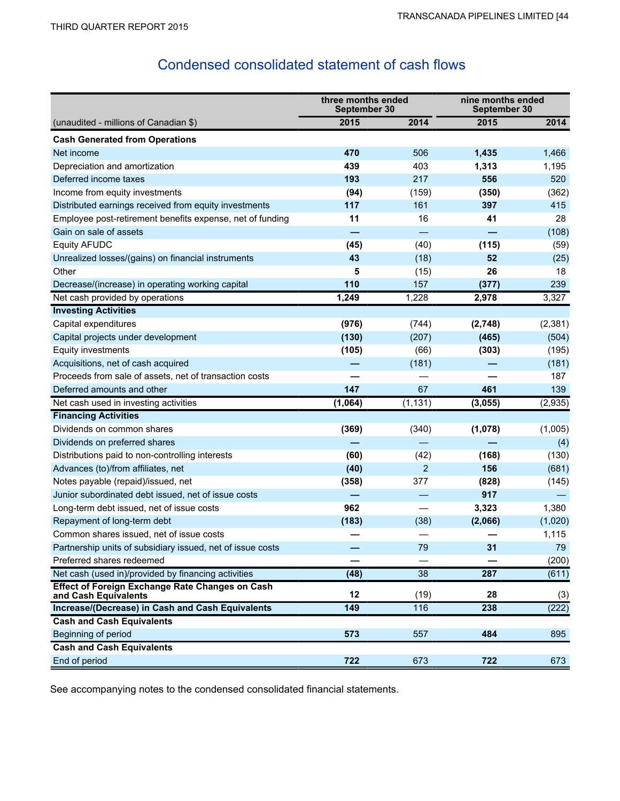## Condensed consolidated statement of cash flows

|                                                                         | three months ended<br>September 30 |                 | nine months ended<br>September 30 |          |
|-------------------------------------------------------------------------|------------------------------------|-----------------|-----------------------------------|----------|
| (unaudited - millions of Canadian \$)                                   | 2015                               | 2014            | 2015                              | 2014     |
| <b>Cash Generated from Operations</b>                                   |                                    |                 |                                   |          |
| Net income                                                              | 470                                | 506             | 1,435                             | 1,466    |
| Depreciation and amortization                                           | 439                                | 403             | 1,313                             | 1,195    |
| Deferred income taxes                                                   | 193                                | 217             | 556                               | 520      |
| Income from equity investments                                          | (94)                               | (159)           | (350)                             | (362)    |
| Distributed earnings received from equity investments                   | 117                                | 161             | 397                               | 415      |
| Employee post-retirement benefits expense, net of funding               | 11                                 | 16              | 41                                | 28       |
| Gain on sale of assets                                                  |                                    |                 |                                   | (108)    |
| <b>Equity AFUDC</b>                                                     | (45)                               | (40)            | (115)                             | (59)     |
| Unrealized losses/(gains) on financial instruments                      | 43                                 | (18)            | 52                                | (25)     |
| Other                                                                   | 5                                  | (15)            | 26                                | 18       |
| Decrease/(increase) in operating working capital                        | 110                                | 157             | (377)                             | 239      |
| Net cash provided by operations                                         | 1,249                              | 1,228           | 2,978                             | 3,327    |
| <b>Investing Activities</b>                                             |                                    |                 |                                   |          |
| Capital expenditures                                                    | (976)                              | (744)           | (2,748)                           | (2, 381) |
| Capital projects under development                                      | (130)                              | (207)           | (465)                             | (504)    |
| Equity investments                                                      | (105)                              | (66)            | (303)                             | (195)    |
| Acquisitions, net of cash acquired                                      |                                    | (181)           |                                   | (181)    |
| Proceeds from sale of assets, net of transaction costs                  |                                    |                 |                                   | 187      |
| Deferred amounts and other                                              | 147                                | 67              | 461                               | 139      |
| Net cash used in investing activities                                   | (1,064)                            | (1, 131)        | (3,055)                           | (2,935)  |
| <b>Financing Activities</b>                                             |                                    |                 |                                   |          |
| Dividends on common shares                                              | (369)                              | (340)           | (1,078)                           | (1,005)  |
| Dividends on preferred shares                                           |                                    |                 |                                   | (4)      |
| Distributions paid to non-controlling interests                         | (60)                               | (42)            | (168)                             | (130)    |
| Advances (to)/from affiliates, net                                      | (40)                               | $\overline{2}$  | 156                               | (681)    |
| Notes payable (repaid)/issued, net                                      | (358)                              | 377             | (828)                             | (145)    |
| Junior subordinated debt issued, net of issue costs                     |                                    |                 | 917                               |          |
| Long-term debt issued, net of issue costs                               | 962                                |                 | 3,323                             | 1,380    |
| Repayment of long-term debt                                             | (183)                              | (38)            | (2,066)                           | (1,020)  |
| Common shares issued, net of issue costs                                |                                    |                 |                                   | 1,115    |
| Partnership units of subsidiary issued, net of issue costs              |                                    | 79              | 31                                | 79       |
| Preferred shares redeemed                                               |                                    |                 |                                   | (200)    |
| Net cash (used in)/provided by financing activities                     | (48)                               | $\overline{38}$ | 287                               | (611)    |
| Effect of Foreign Exchange Rate Changes on Cash<br>and Cash Equivalents | 12                                 | (19)            | 28                                | (3)      |
| Increase/(Decrease) in Cash and Cash Equivalents                        | 149                                | 116             | 238                               | (222)    |
| <b>Cash and Cash Equivalents</b>                                        |                                    |                 |                                   |          |
| Beginning of period                                                     | 573                                | 557             | 484                               | 895      |
| <b>Cash and Cash Equivalents</b>                                        |                                    |                 |                                   |          |
| End of period                                                           | 722                                | 673             | 722                               | 673      |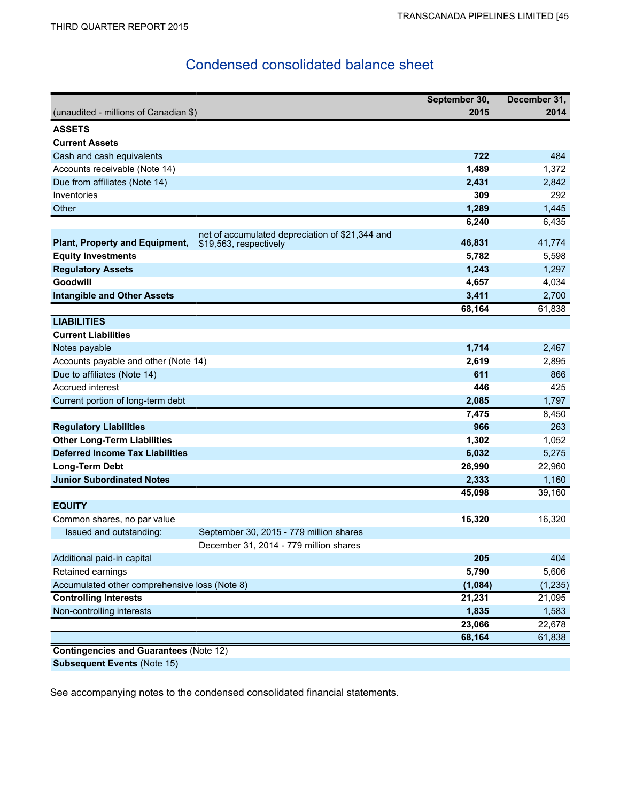## Condensed consolidated balance sheet

|                                               |                                                 | September 30, | December 31, |
|-----------------------------------------------|-------------------------------------------------|---------------|--------------|
| (unaudited - millions of Canadian \$)         |                                                 | 2015          | 2014         |
| <b>ASSETS</b>                                 |                                                 |               |              |
| <b>Current Assets</b>                         |                                                 |               |              |
| Cash and cash equivalents                     |                                                 | 722           | 484          |
| Accounts receivable (Note 14)                 |                                                 | 1,489         | 1,372        |
| Due from affiliates (Note 14)                 |                                                 | 2,431         | 2,842        |
| Inventories                                   |                                                 | 309           | 292          |
| Other                                         |                                                 | 1,289         | 1,445        |
|                                               |                                                 | 6,240         | 6,435        |
|                                               | net of accumulated depreciation of \$21,344 and |               |              |
| Plant, Property and Equipment,                | \$19,563, respectively                          | 46,831        | 41,774       |
| <b>Equity Investments</b>                     |                                                 | 5,782         | 5,598        |
| <b>Regulatory Assets</b>                      |                                                 | 1,243         | 1,297        |
| Goodwill                                      |                                                 | 4,657         | 4,034        |
| <b>Intangible and Other Assets</b>            |                                                 | 3,411         | 2,700        |
|                                               |                                                 | 68,164        | 61,838       |
| <b>LIABILITIES</b>                            |                                                 |               |              |
| <b>Current Liabilities</b>                    |                                                 |               |              |
| Notes payable                                 |                                                 | 1,714         | 2,467        |
| Accounts payable and other (Note 14)          |                                                 | 2,619         | 2,895        |
| Due to affiliates (Note 14)                   |                                                 | 611           | 866          |
| Accrued interest                              |                                                 | 446           | 425          |
| Current portion of long-term debt             |                                                 | 2,085         | 1,797        |
|                                               |                                                 | 7,475         | 8,450        |
| <b>Regulatory Liabilities</b>                 |                                                 | 966           | 263          |
| <b>Other Long-Term Liabilities</b>            |                                                 | 1,302         | 1,052        |
| <b>Deferred Income Tax Liabilities</b>        |                                                 | 6,032         | 5,275        |
| Long-Term Debt                                |                                                 | 26,990        | 22,960       |
| <b>Junior Subordinated Notes</b>              |                                                 | 2,333         | 1,160        |
|                                               |                                                 | 45,098        | 39,160       |
| <b>EQUITY</b>                                 |                                                 |               |              |
| Common shares, no par value                   |                                                 | 16,320        | 16,320       |
| Issued and outstanding:                       | September 30, 2015 - 779 million shares         |               |              |
|                                               | December 31, 2014 - 779 million shares          |               |              |
| Additional paid-in capital                    |                                                 | 205           | 404          |
| Retained earnings                             |                                                 | 5,790         | 5,606        |
| Accumulated other comprehensive loss (Note 8) |                                                 | (1,084)       | (1, 235)     |
| <b>Controlling Interests</b>                  |                                                 | 21,231        | 21,095       |
| Non-controlling interests                     |                                                 | 1,835         | 1,583        |
|                                               |                                                 | 23,066        | 22,678       |
|                                               |                                                 | 68,164        | 61,838       |
| <b>Contingencies and Guarantees (Note 12)</b> |                                                 |               |              |

**Subsequent Events** (Note 15)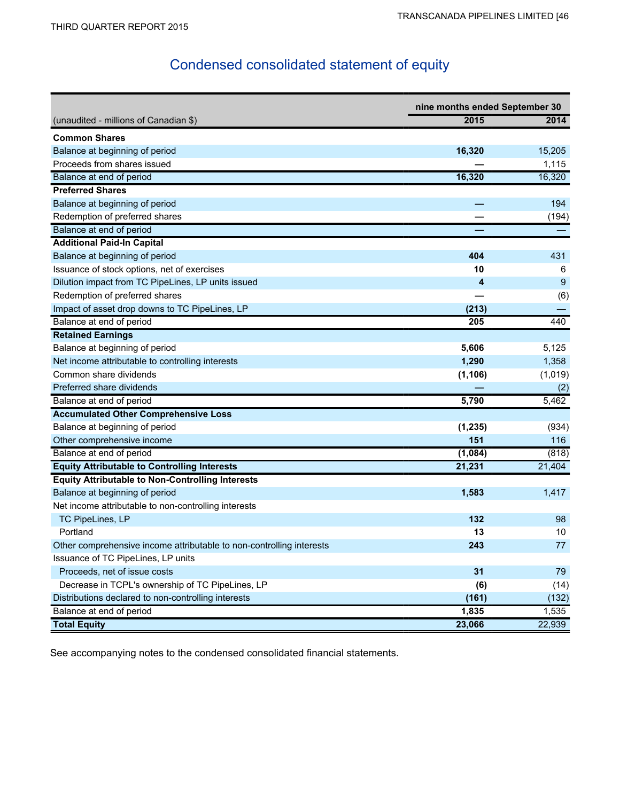# Condensed consolidated statement of equity

|                                                                      | nine months ended September 30 |         |  |  |
|----------------------------------------------------------------------|--------------------------------|---------|--|--|
| (unaudited - millions of Canadian \$)                                | 2015                           | 2014    |  |  |
| <b>Common Shares</b>                                                 |                                |         |  |  |
| Balance at beginning of period                                       | 16,320                         | 15,205  |  |  |
| Proceeds from shares issued                                          |                                | 1,115   |  |  |
| Balance at end of period                                             | 16,320                         | 16,320  |  |  |
| <b>Preferred Shares</b>                                              |                                |         |  |  |
| Balance at beginning of period                                       |                                | 194     |  |  |
| Redemption of preferred shares                                       |                                | (194)   |  |  |
| Balance at end of period                                             |                                |         |  |  |
| <b>Additional Paid-In Capital</b>                                    |                                |         |  |  |
| Balance at beginning of period                                       | 404                            | 431     |  |  |
| Issuance of stock options, net of exercises                          | 10                             | 6       |  |  |
| Dilution impact from TC PipeLines, LP units issued                   | 4                              | 9       |  |  |
| Redemption of preferred shares                                       |                                | (6)     |  |  |
| Impact of asset drop downs to TC PipeLines, LP                       | (213)                          |         |  |  |
| Balance at end of period                                             | 205                            | 440     |  |  |
| <b>Retained Earnings</b>                                             |                                |         |  |  |
| Balance at beginning of period                                       | 5,606                          | 5,125   |  |  |
| Net income attributable to controlling interests                     | 1,290                          | 1,358   |  |  |
| Common share dividends                                               | (1, 106)                       | (1,019) |  |  |
| Preferred share dividends                                            |                                | (2)     |  |  |
| Balance at end of period                                             | 5,790                          | 5,462   |  |  |
| <b>Accumulated Other Comprehensive Loss</b>                          |                                |         |  |  |
| Balance at beginning of period                                       | (1, 235)                       | (934)   |  |  |
| Other comprehensive income                                           | 151                            | 116     |  |  |
| Balance at end of period                                             | (1,084)                        | (818)   |  |  |
| <b>Equity Attributable to Controlling Interests</b>                  | 21,231                         | 21,404  |  |  |
| <b>Equity Attributable to Non-Controlling Interests</b>              |                                |         |  |  |
| Balance at beginning of period                                       | 1,583                          | 1,417   |  |  |
| Net income attributable to non-controlling interests                 |                                |         |  |  |
| TC PipeLines, LP                                                     | 132                            | 98      |  |  |
| Portland                                                             | 13                             | 10      |  |  |
| Other comprehensive income attributable to non-controlling interests | 243                            | 77      |  |  |
| Issuance of TC PipeLines, LP units                                   |                                |         |  |  |
| Proceeds, net of issue costs                                         | 31                             | 79      |  |  |
| Decrease in TCPL's ownership of TC PipeLines, LP                     | (6)                            | (14)    |  |  |
| Distributions declared to non-controlling interests                  | (161)                          | (132)   |  |  |
| Balance at end of period                                             | 1,835                          | 1,535   |  |  |
| <b>Total Equity</b>                                                  | 23,066                         | 22,939  |  |  |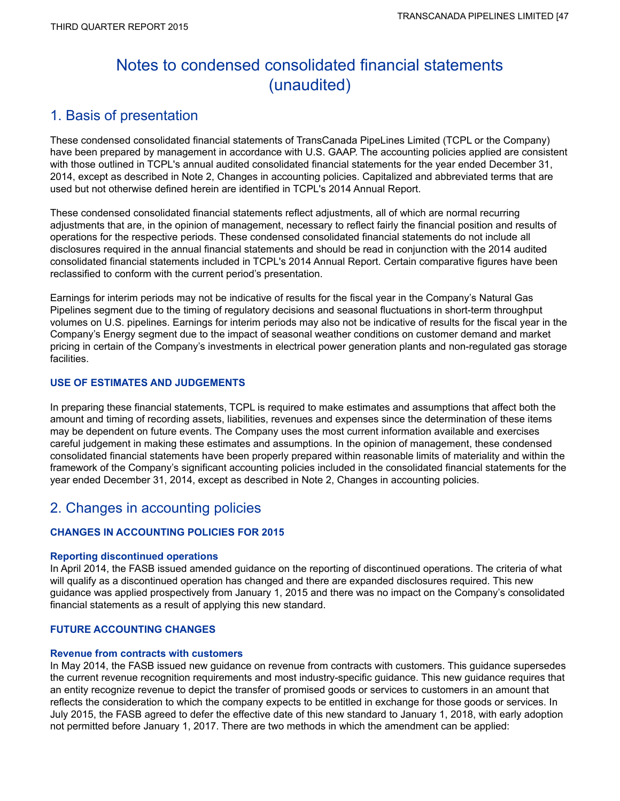# Notes to condensed consolidated financial statements (unaudited)

## 1. Basis of presentation

These condensed consolidated financial statements of TransCanada PipeLines Limited (TCPL or the Company) have been prepared by management in accordance with U.S. GAAP. The accounting policies applied are consistent with those outlined in TCPL's annual audited consolidated financial statements for the year ended December 31, 2014, except as described in Note 2, Changes in accounting policies. Capitalized and abbreviated terms that are used but not otherwise defined herein are identified in TCPL's 2014 Annual Report.

These condensed consolidated financial statements reflect adjustments, all of which are normal recurring adjustments that are, in the opinion of management, necessary to reflect fairly the financial position and results of operations for the respective periods. These condensed consolidated financial statements do not include all disclosures required in the annual financial statements and should be read in conjunction with the 2014 audited consolidated financial statements included in TCPL's 2014 Annual Report. Certain comparative figures have been reclassified to conform with the current period's presentation.

Earnings for interim periods may not be indicative of results for the fiscal year in the Company's Natural Gas Pipelines segment due to the timing of regulatory decisions and seasonal fluctuations in short-term throughput volumes on U.S. pipelines. Earnings for interim periods may also not be indicative of results for the fiscal year in the Company's Energy segment due to the impact of seasonal weather conditions on customer demand and market pricing in certain of the Company's investments in electrical power generation plants and non-regulated gas storage facilities.

## **USE OF ESTIMATES AND JUDGEMENTS**

In preparing these financial statements, TCPL is required to make estimates and assumptions that affect both the amount and timing of recording assets, liabilities, revenues and expenses since the determination of these items may be dependent on future events. The Company uses the most current information available and exercises careful judgement in making these estimates and assumptions. In the opinion of management, these condensed consolidated financial statements have been properly prepared within reasonable limits of materiality and within the framework of the Company's significant accounting policies included in the consolidated financial statements for the year ended December 31, 2014, except as described in Note 2, Changes in accounting policies.

## 2. Changes in accounting policies

## **CHANGES IN ACCOUNTING POLICIES FOR 2015**

## **Reporting discontinued operations**

In April 2014, the FASB issued amended guidance on the reporting of discontinued operations. The criteria of what will qualify as a discontinued operation has changed and there are expanded disclosures required. This new guidance was applied prospectively from January 1, 2015 and there was no impact on the Company's consolidated financial statements as a result of applying this new standard.

## **FUTURE ACCOUNTING CHANGES**

## **Revenue from contracts with customers**

In May 2014, the FASB issued new guidance on revenue from contracts with customers. This guidance supersedes the current revenue recognition requirements and most industry-specific guidance. This new guidance requires that an entity recognize revenue to depict the transfer of promised goods or services to customers in an amount that reflects the consideration to which the company expects to be entitled in exchange for those goods or services. In July 2015, the FASB agreed to defer the effective date of this new standard to January 1, 2018, with early adoption not permitted before January 1, 2017. There are two methods in which the amendment can be applied: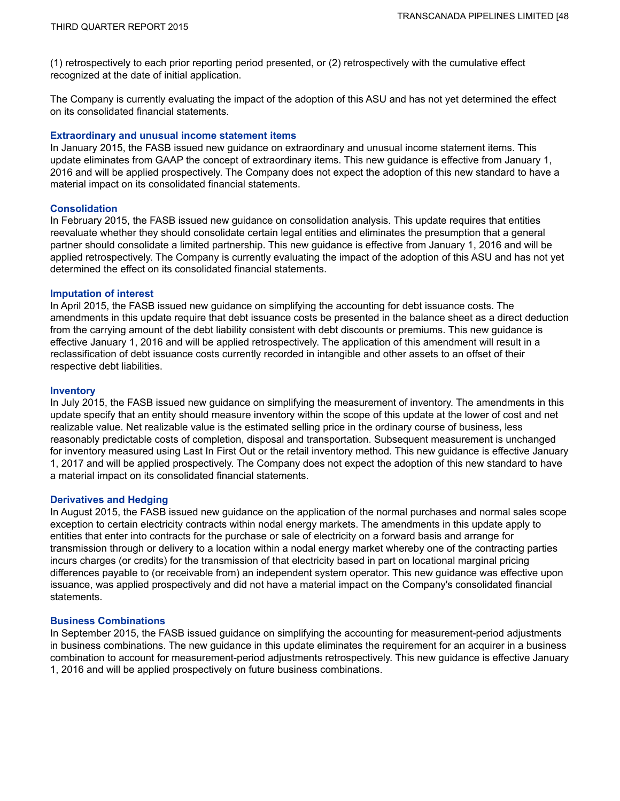(1) retrospectively to each prior reporting period presented, or (2) retrospectively with the cumulative effect recognized at the date of initial application.

The Company is currently evaluating the impact of the adoption of this ASU and has not yet determined the effect on its consolidated financial statements.

### **Extraordinary and unusual income statement items**

In January 2015, the FASB issued new guidance on extraordinary and unusual income statement items. This update eliminates from GAAP the concept of extraordinary items. This new guidance is effective from January 1, 2016 and will be applied prospectively. The Company does not expect the adoption of this new standard to have a material impact on its consolidated financial statements.

### **Consolidation**

In February 2015, the FASB issued new guidance on consolidation analysis. This update requires that entities reevaluate whether they should consolidate certain legal entities and eliminates the presumption that a general partner should consolidate a limited partnership. This new guidance is effective from January 1, 2016 and will be applied retrospectively. The Company is currently evaluating the impact of the adoption of this ASU and has not yet determined the effect on its consolidated financial statements.

#### **Imputation of interest**

In April 2015, the FASB issued new guidance on simplifying the accounting for debt issuance costs. The amendments in this update require that debt issuance costs be presented in the balance sheet as a direct deduction from the carrying amount of the debt liability consistent with debt discounts or premiums. This new guidance is effective January 1, 2016 and will be applied retrospectively. The application of this amendment will result in a reclassification of debt issuance costs currently recorded in intangible and other assets to an offset of their respective debt liabilities.

#### **Inventory**

In July 2015, the FASB issued new guidance on simplifying the measurement of inventory. The amendments in this update specify that an entity should measure inventory within the scope of this update at the lower of cost and net realizable value. Net realizable value is the estimated selling price in the ordinary course of business, less reasonably predictable costs of completion, disposal and transportation. Subsequent measurement is unchanged for inventory measured using Last In First Out or the retail inventory method. This new guidance is effective January 1, 2017 and will be applied prospectively. The Company does not expect the adoption of this new standard to have a material impact on its consolidated financial statements.

### **Derivatives and Hedging**

In August 2015, the FASB issued new guidance on the application of the normal purchases and normal sales scope exception to certain electricity contracts within nodal energy markets. The amendments in this update apply to entities that enter into contracts for the purchase or sale of electricity on a forward basis and arrange for transmission through or delivery to a location within a nodal energy market whereby one of the contracting parties incurs charges (or credits) for the transmission of that electricity based in part on locational marginal pricing differences payable to (or receivable from) an independent system operator. This new guidance was effective upon issuance, was applied prospectively and did not have a material impact on the Company's consolidated financial statements.

### **Business Combinations**

In September 2015, the FASB issued guidance on simplifying the accounting for measurement-period adjustments in business combinations. The new guidance in this update eliminates the requirement for an acquirer in a business combination to account for measurement-period adjustments retrospectively. This new guidance is effective January 1, 2016 and will be applied prospectively on future business combinations.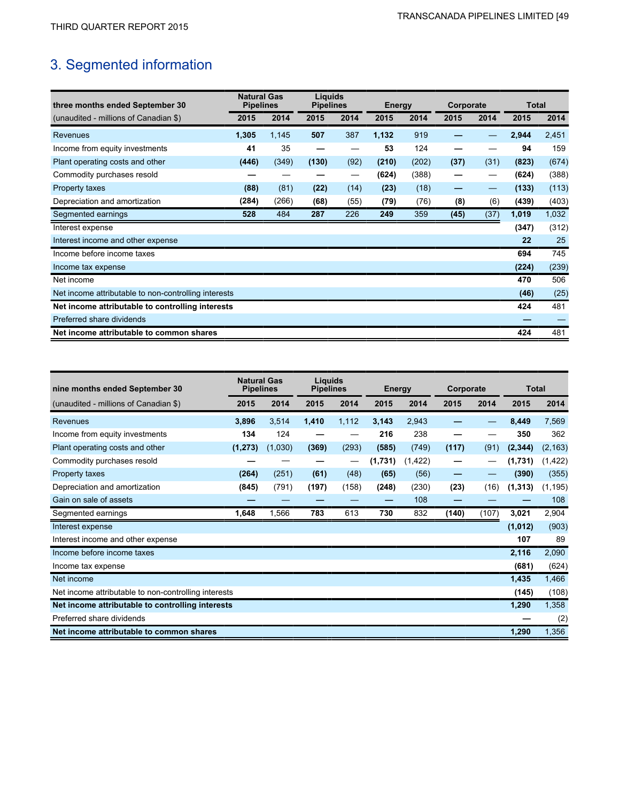# 3. Segmented information

| three months ended September 30                      | <b>Natural Gas</b><br><b>Pipelines</b> |       | Liquids<br><b>Pipelines</b> |      | <b>Energy</b> |       | Corporate |      | Total |       |
|------------------------------------------------------|----------------------------------------|-------|-----------------------------|------|---------------|-------|-----------|------|-------|-------|
| (unaudited - millions of Canadian \$)                | 2015                                   | 2014  | 2015                        | 2014 | 2015          | 2014  | 2015      | 2014 | 2015  | 2014  |
| Revenues                                             | 1,305                                  | 1,145 | 507                         | 387  | 1,132         | 919   |           |      | 2,944 | 2,451 |
| Income from equity investments                       | 41                                     | 35    |                             |      | 53            | 124   |           |      | 94    | 159   |
| Plant operating costs and other                      | (446)                                  | (349) | (130)                       | (92) | (210)         | (202) | (37)      | (31) | (823) | (674) |
| Commodity purchases resold                           |                                        |       |                             |      | (624)         | (388) | –         |      | (624) | (388) |
| Property taxes                                       | (88)                                   | (81)  | (22)                        | (14) | (23)          | (18)  | -         | —    | (133) | (113) |
| Depreciation and amortization                        | (284)                                  | (266) | (68)                        | (55) | (79)          | (76)  | (8)       | (6)  | (439) | (403) |
| Segmented earnings                                   | 528                                    | 484   | 287                         | 226  | 249           | 359   | (45)      | (37) | 1,019 | 1,032 |
| Interest expense                                     |                                        |       |                             |      |               |       |           |      | (347) | (312) |
| Interest income and other expense                    |                                        |       |                             |      |               |       |           |      | 22    | 25    |
| Income before income taxes                           |                                        |       |                             |      |               |       |           |      | 694   | 745   |
| Income tax expense                                   |                                        |       |                             |      |               |       |           |      | (224) | (239) |
| Net income                                           |                                        |       |                             |      |               |       |           |      | 470   | 506   |
| Net income attributable to non-controlling interests |                                        |       |                             |      |               |       |           |      | (46)  | (25)  |
| Net income attributable to controlling interests     |                                        |       |                             |      |               |       |           |      | 424   | 481   |
| Preferred share dividends                            |                                        |       |                             |      |               |       |           |      |       |       |
| Net income attributable to common shares             |                                        |       |                             |      |               |       |           |      | 424   | 481   |

| nine months ended September 30                       | <b>Natural Gas</b><br><b>Pipelines</b> |         | Liquids<br><b>Pipelines</b> |       | <b>Energy</b> |          | Corporate |       | Total    |          |
|------------------------------------------------------|----------------------------------------|---------|-----------------------------|-------|---------------|----------|-----------|-------|----------|----------|
| (unaudited - millions of Canadian \$)                | 2015                                   | 2014    | 2015                        | 2014  | 2015          | 2014     | 2015      | 2014  | 2015     | 2014     |
| Revenues                                             | 3,896                                  | 3,514   | 1,410                       | 1,112 | 3,143         | 2,943    |           |       | 8,449    | 7,569    |
| Income from equity investments                       | 134                                    | 124     |                             |       | 216           | 238      |           |       | 350      | 362      |
| Plant operating costs and other                      | (1, 273)                               | (1,030) | (369)                       | (293) | (585)         | (749)    | (117)     | (91)  | (2, 344) | (2, 163) |
| Commodity purchases resold                           |                                        |         |                             |       | (1,731)       | (1, 422) |           |       | (1,731)  | (1, 422) |
| Property taxes                                       | (264)                                  | (251)   | (61)                        | (48)  | (65)          | (56)     | -         |       | (390)    | (355)    |
| Depreciation and amortization                        | (845)                                  | (791)   | (197)                       | (158) | (248)         | (230)    | (23)      | (16)  | (1, 313) | (1, 195) |
| Gain on sale of assets                               |                                        |         |                             |       |               | 108      |           |       |          | 108      |
| Segmented earnings                                   | 1,648                                  | 1,566   | 783                         | 613   | 730           | 832      | (140)     | (107) | 3,021    | 2,904    |
| Interest expense                                     |                                        |         |                             |       |               |          |           |       | (1,012)  | (903)    |
| Interest income and other expense                    |                                        |         |                             |       |               |          |           |       | 107      | 89       |
| Income before income taxes                           |                                        |         |                             |       |               |          |           |       | 2,116    | 2,090    |
| Income tax expense                                   |                                        |         |                             |       |               |          |           |       | (681)    | (624)    |
| Net income                                           |                                        |         |                             |       |               |          |           |       | 1,435    | 1,466    |
| Net income attributable to non-controlling interests |                                        |         |                             |       |               |          |           |       | (145)    | (108)    |
| Net income attributable to controlling interests     |                                        |         |                             |       |               |          | 1,290     | 1,358 |          |          |
| Preferred share dividends                            |                                        |         |                             |       |               |          |           |       |          | (2)      |
| Net income attributable to common shares             |                                        |         |                             |       |               |          |           |       | 1,290    | 1,356    |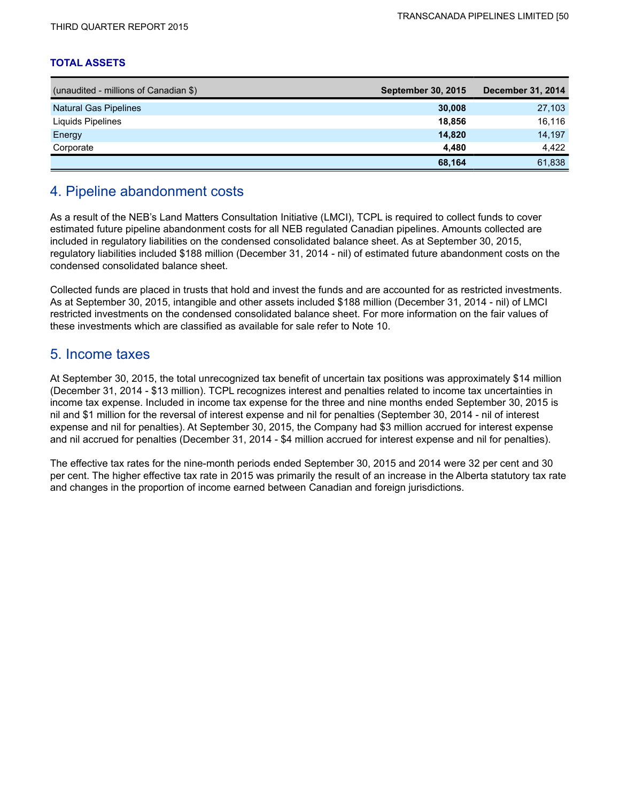### **TOTAL ASSETS**

| (unaudited - millions of Canadian \$) | <b>September 30, 2015</b> | December 31, 2014 |
|---------------------------------------|---------------------------|-------------------|
| <b>Natural Gas Pipelines</b>          | 30,008                    | 27,103            |
| Liquids Pipelines                     | 18.856                    | 16,116            |
| Energy                                | 14,820                    | 14,197            |
| Corporate                             | 4.480                     | 4.422             |
|                                       | 68,164                    | 61,838            |

## 4. Pipeline abandonment costs

As a result of the NEB's Land Matters Consultation Initiative (LMCI), TCPL is required to collect funds to cover estimated future pipeline abandonment costs for all NEB regulated Canadian pipelines. Amounts collected are included in regulatory liabilities on the condensed consolidated balance sheet. As at September 30, 2015, regulatory liabilities included \$188 million (December 31, 2014 - nil) of estimated future abandonment costs on the condensed consolidated balance sheet.

Collected funds are placed in trusts that hold and invest the funds and are accounted for as restricted investments. As at September 30, 2015, intangible and other assets included \$188 million (December 31, 2014 - nil) of LMCI restricted investments on the condensed consolidated balance sheet. For more information on the fair values of these investments which are classified as available for sale refer to Note 10.

## 5. Income taxes

At September 30, 2015, the total unrecognized tax benefit of uncertain tax positions was approximately \$14 million (December 31, 2014 - \$13 million). TCPL recognizes interest and penalties related to income tax uncertainties in income tax expense. Included in income tax expense for the three and nine months ended September 30, 2015 is nil and \$1 million for the reversal of interest expense and nil for penalties (September 30, 2014 - nil of interest expense and nil for penalties). At September 30, 2015, the Company had \$3 million accrued for interest expense and nil accrued for penalties (December 31, 2014 - \$4 million accrued for interest expense and nil for penalties).

The effective tax rates for the nine-month periods ended September 30, 2015 and 2014 were 32 per cent and 30 per cent. The higher effective tax rate in 2015 was primarily the result of an increase in the Alberta statutory tax rate and changes in the proportion of income earned between Canadian and foreign jurisdictions.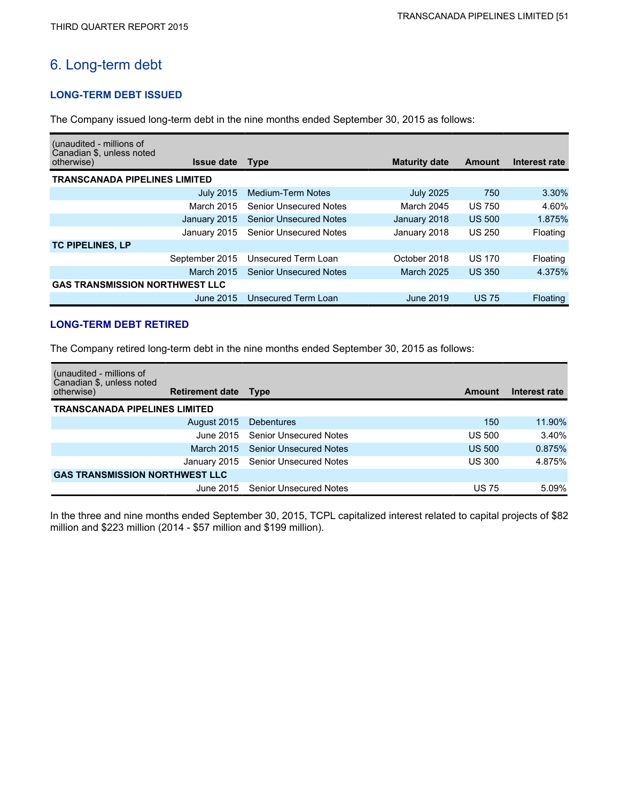## 6. Long-term debt

## **LONG-TERM DEBT ISSUED**

The Company issued long-term debt in the nine months ended September 30, 2015 as follows:

| (unaudited - millions of<br>Canadian \$, unless noted |                               |                      |               |               |
|-------------------------------------------------------|-------------------------------|----------------------|---------------|---------------|
| otherwise)<br><b>Issue date</b>                       | <b>Type</b>                   | <b>Maturity date</b> | Amount        | Interest rate |
| <b>TRANSCANADA PIPELINES LIMITED</b>                  |                               |                      |               |               |
| <b>July 2015</b>                                      | Medium-Term Notes             | <b>July 2025</b>     | 750           | 3.30%         |
| March 2015                                            | <b>Senior Unsecured Notes</b> | March 2045           | <b>US 750</b> | 4.60%         |
| January 2015                                          | <b>Senior Unsecured Notes</b> | January 2018         | <b>US 500</b> | 1.875%        |
| January 2015                                          | <b>Senior Unsecured Notes</b> | January 2018         | <b>US 250</b> | Floating      |
| <b>TC PIPELINES, LP</b>                               |                               |                      |               |               |
| September 2015                                        | Unsecured Term Loan           | October 2018         | <b>US 170</b> | Floating      |
| <b>March 2015</b>                                     | <b>Senior Unsecured Notes</b> | <b>March 2025</b>    | <b>US 350</b> | 4.375%        |
| <b>GAS TRANSMISSION NORTHWEST LLC</b>                 |                               |                      |               |               |
| June 2015                                             | Unsecured Term Loan           | June 2019            | <b>US 75</b>  | Floating      |

## **LONG-TERM DEBT RETIRED**

The Company retired long-term debt in the nine months ended September 30, 2015 as follows:

| (unaudited - millions of<br>Canadian \$, unless noted |                        |                                     |               |               |
|-------------------------------------------------------|------------------------|-------------------------------------|---------------|---------------|
| otherwise)                                            | <b>Retirement date</b> | <b>Type</b>                         | Amount        | Interest rate |
| <b>TRANSCANADA PIPELINES LIMITED</b>                  |                        |                                     |               |               |
|                                                       | August 2015            | <b>Debentures</b>                   | 150           | 11.90%        |
|                                                       | June 2015.             | <b>Senior Unsecured Notes</b>       | <b>US 500</b> | 3.40%         |
|                                                       | March 2015             | <b>Senior Unsecured Notes</b>       | <b>US 500</b> | 0.875%        |
|                                                       |                        | January 2015 Senior Unsecured Notes | <b>US 300</b> | 4.875%        |
| <b>GAS TRANSMISSION NORTHWEST LLC</b>                 |                        |                                     |               |               |
|                                                       |                        | June 2015 Senior Unsecured Notes    | <b>US 75</b>  | 5.09%         |

In the three and nine months ended September 30, 2015, TCPL capitalized interest related to capital projects of \$82 million and \$223 million (2014 - \$57 million and \$199 million).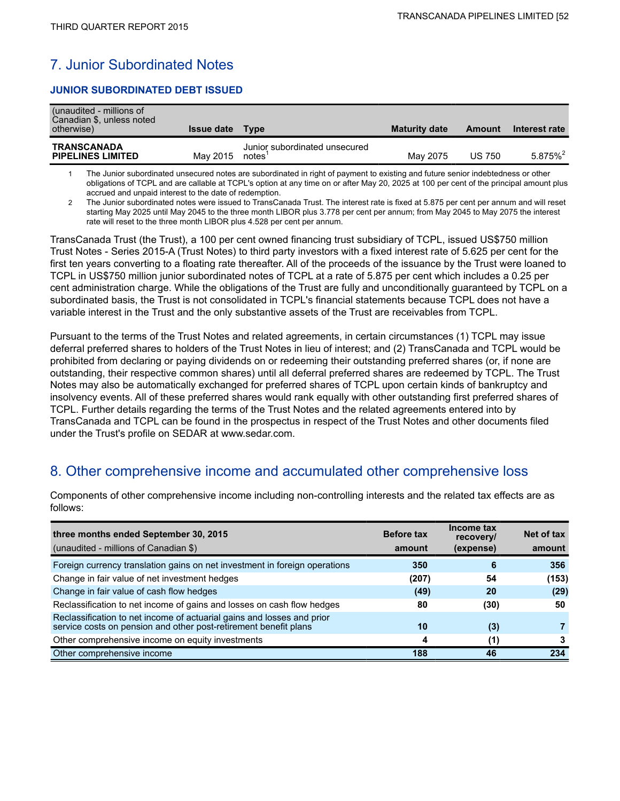## 7. Junior Subordinated Notes

## **JUNIOR SUBORDINATED DEBT ISSUED**

| (unaudited - millions of<br>Canadian \$, unless noted<br>otherwise) | <b>Issue date</b> | <b>Type</b>                            | <b>Maturity date</b> | Amount        | Interest rate          |
|---------------------------------------------------------------------|-------------------|----------------------------------------|----------------------|---------------|------------------------|
| <b>TRANSCANADA</b><br><b>PIPELINES LIMITED</b>                      | May 2015          | Junior subordinated unsecured<br>notes | May 2075             | <b>US 750</b> | $5.875\%$ <sup>2</sup> |

1 The Junior subordinated unsecured notes are subordinated in right of payment to existing and future senior indebtedness or other obligations of TCPL and are callable at TCPL's option at any time on or after May 20, 2025 at 100 per cent of the principal amount plus accrued and unpaid interest to the date of redemption.

2 The Junior subordinated notes were issued to TransCanada Trust. The interest rate is fixed at 5.875 per cent per annum and will reset starting May 2025 until May 2045 to the three month LIBOR plus 3.778 per cent per annum; from May 2045 to May 2075 the interest rate will reset to the three month LIBOR plus 4.528 per cent per annum.

TransCanada Trust (the Trust), a 100 per cent owned financing trust subsidiary of TCPL, issued US\$750 million Trust Notes - Series 2015-A (Trust Notes) to third party investors with a fixed interest rate of 5.625 per cent for the first ten years converting to a floating rate thereafter. All of the proceeds of the issuance by the Trust were loaned to TCPL in US\$750 million junior subordinated notes of TCPL at a rate of 5.875 per cent which includes a 0.25 per cent administration charge. While the obligations of the Trust are fully and unconditionally guaranteed by TCPL on a subordinated basis, the Trust is not consolidated in TCPL's financial statements because TCPL does not have a variable interest in the Trust and the only substantive assets of the Trust are receivables from TCPL.

Pursuant to the terms of the Trust Notes and related agreements, in certain circumstances (1) TCPL may issue deferral preferred shares to holders of the Trust Notes in lieu of interest; and (2) TransCanada and TCPL would be prohibited from declaring or paying dividends on or redeeming their outstanding preferred shares (or, if none are outstanding, their respective common shares) until all deferral preferred shares are redeemed by TCPL. The Trust Notes may also be automatically exchanged for preferred shares of TCPL upon certain kinds of bankruptcy and insolvency events. All of these preferred shares would rank equally with other outstanding first preferred shares of TCPL. Further details regarding the terms of the Trust Notes and the related agreements entered into by TransCanada and TCPL can be found in the prospectus in respect of the Trust Notes and other documents filed under the Trust's profile on SEDAR at www.sedar.com.

## 8. Other comprehensive income and accumulated other comprehensive loss

| three months ended September 30, 2015                                                                                                      | <b>Before tax</b> | Income tax<br>recovery/ | Net of tax |
|--------------------------------------------------------------------------------------------------------------------------------------------|-------------------|-------------------------|------------|
| (unaudited - millions of Canadian \$)                                                                                                      | amount            | (expense)               | amount     |
| Foreign currency translation gains on net investment in foreign operations                                                                 | 350               | 6                       | 356        |
| Change in fair value of net investment hedges                                                                                              | (207)             | 54                      | (153)      |
| Change in fair value of cash flow hedges                                                                                                   | (49)              | 20                      | (29)       |
| Reclassification to net income of gains and losses on cash flow hedges                                                                     | 80                | (30)                    | 50         |
| Reclassification to net income of actuarial gains and losses and prior<br>service costs on pension and other post-retirement benefit plans | 10                | (3)                     |            |
| Other comprehensive income on equity investments                                                                                           | 4                 | (1)                     |            |
| Other comprehensive income                                                                                                                 | 188               | 46                      | 234        |

Components of other comprehensive income including non-controlling interests and the related tax effects are as follows: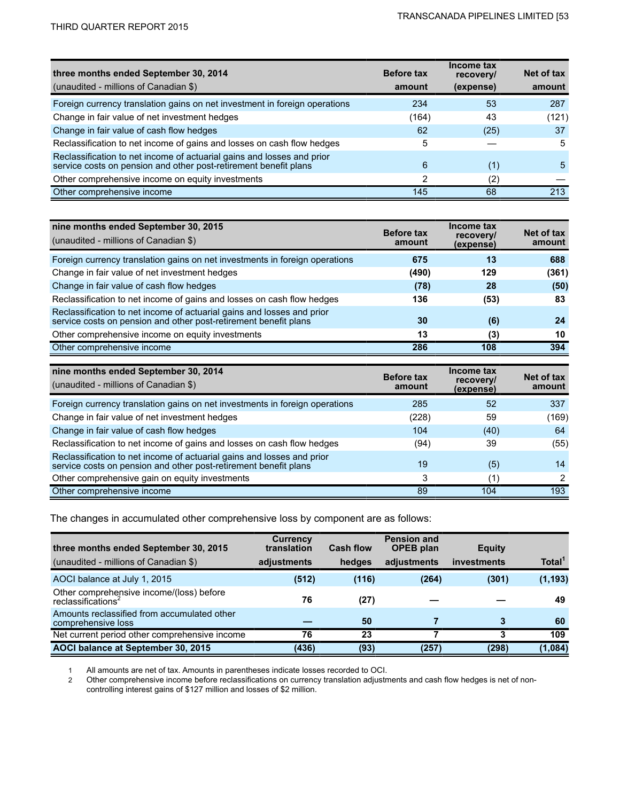| three months ended September 30, 2014                                                                                                      | <b>Before tax</b> | Income tax<br>recovery/ | Net of tax |
|--------------------------------------------------------------------------------------------------------------------------------------------|-------------------|-------------------------|------------|
| (unaudited - millions of Canadian \$)                                                                                                      | amount            | (expense)               | amount     |
| Foreign currency translation gains on net investment in foreign operations                                                                 | 234               | 53                      | 287        |
| Change in fair value of net investment hedges                                                                                              | (164)             | 43                      | (121)      |
| Change in fair value of cash flow hedges                                                                                                   | 62                | (25)                    | 37         |
| Reclassification to net income of gains and losses on cash flow hedges                                                                     | 5                 |                         | 5          |
| Reclassification to net income of actuarial gains and losses and prior<br>service costs on pension and other post-retirement benefit plans | 6                 | (1)                     | 5          |
| Other comprehensive income on equity investments                                                                                           | 2                 | (2)                     |            |
| Other comprehensive income                                                                                                                 | 145               | 68                      | 213        |

| nine months ended September 30, 2015<br>(unaudited - millions of Canadian \$)                                                              | <b>Before tax</b><br>amount | Income tax<br>recovery/<br>(expense) | Net of tax<br>amount |
|--------------------------------------------------------------------------------------------------------------------------------------------|-----------------------------|--------------------------------------|----------------------|
| Foreign currency translation gains on net investments in foreign operations                                                                | 675                         | 13                                   | 688                  |
| Change in fair value of net investment hedges                                                                                              | (490)                       | 129                                  | (361)                |
| Change in fair value of cash flow hedges                                                                                                   | (78)                        | 28                                   | (50)                 |
| Reclassification to net income of gains and losses on cash flow hedges                                                                     | 136                         | (53)                                 | 83                   |
| Reclassification to net income of actuarial gains and losses and prior<br>service costs on pension and other post-retirement benefit plans | 30                          | (6)                                  | 24                   |
| Other comprehensive income on equity investments                                                                                           | 13                          | (3)                                  | 10                   |
| Other comprehensive income                                                                                                                 | 286                         | 108                                  | 394                  |

| nine months ended September 30, 2014<br>(unaudited - millions of Canadian \$)                                                              | <b>Before tax</b><br>amount | Income tax<br>recovery/<br>(expense) | Net of tax<br>amount |
|--------------------------------------------------------------------------------------------------------------------------------------------|-----------------------------|--------------------------------------|----------------------|
| Foreign currency translation gains on net investments in foreign operations                                                                | 285                         | 52                                   | 337                  |
| Change in fair value of net investment hedges                                                                                              | (228)                       | 59                                   | (169)                |
| Change in fair value of cash flow hedges                                                                                                   | 104                         | (40)                                 | 64                   |
| Reclassification to net income of gains and losses on cash flow hedges                                                                     | (94)                        | 39                                   | (55)                 |
| Reclassification to net income of actuarial gains and losses and prior<br>service costs on pension and other post-retirement benefit plans | 19                          | (5)                                  | 14                   |
| Other comprehensive gain on equity investments                                                                                             | 3                           | (1)                                  | 2                    |
| Other comprehensive income                                                                                                                 | 89                          | 104                                  | 193                  |

The changes in accumulated other comprehensive loss by component are as follows:

| three months ended September 30, 2015<br>(unaudited - millions of Canadian \$) | Currency<br>translation<br>adjustments | <b>Cash flow</b><br>hedges | <b>Pension and</b><br><b>OPEB</b> plan<br>adjustments | <b>Equity</b><br>investments | Total <sup>1</sup> |
|--------------------------------------------------------------------------------|----------------------------------------|----------------------------|-------------------------------------------------------|------------------------------|--------------------|
| AOCI balance at July 1, 2015                                                   | (512)                                  | (116)                      | (264)                                                 | (301)                        | (1, 193)           |
| Other comprehensive income/(loss) before<br>reclassifications <sup>2</sup>     | 76                                     | (27)                       |                                                       |                              | 49                 |
| Amounts reclassified from accumulated other<br>comprehensive loss              |                                        | 50                         |                                                       |                              | 60                 |
| Net current period other comprehensive income                                  | 76                                     | 23                         |                                                       |                              | 109                |
| AOCI balance at September 30, 2015                                             | (436)                                  | (93)                       | (257)                                                 | (298)                        | (1,084)            |

1 All amounts are net of tax. Amounts in parentheses indicate losses recorded to OCI.

2 Other comprehensive income before reclassifications on currency translation adjustments and cash flow hedges is net of noncontrolling interest gains of \$127 million and losses of \$2 million.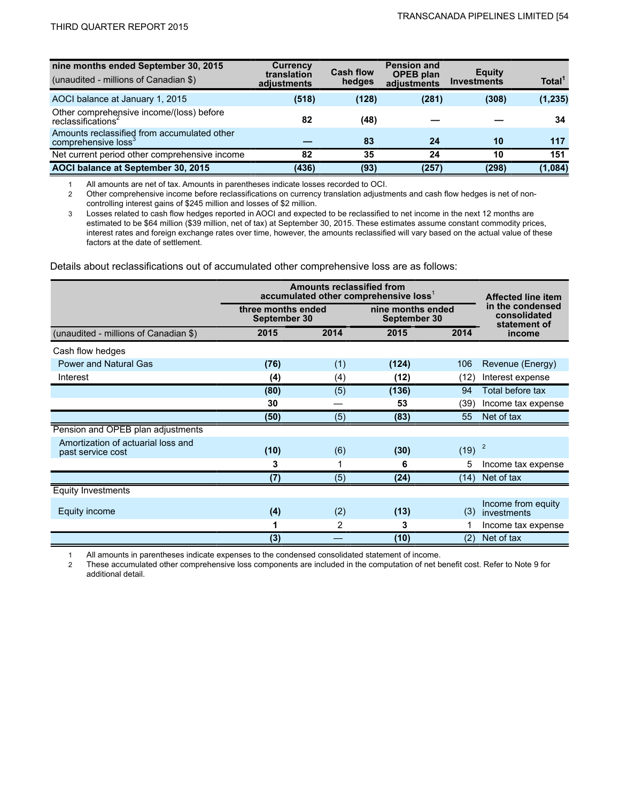| nine months ended September 30, 2015<br>(unaudited - millions of Canadian \$)  | <b>Currency</b><br>translation<br>adjustments | <b>Cash flow</b><br>hedges | <b>Pension and</b><br><b>OPEB</b> plan<br>adjustments | Equity<br><b>Investments</b> | Total <sup>1</sup> |
|--------------------------------------------------------------------------------|-----------------------------------------------|----------------------------|-------------------------------------------------------|------------------------------|--------------------|
| AOCI balance at January 1, 2015                                                | (518)                                         | (128)                      | (281)                                                 | (308)                        | (1, 235)           |
| Other comprehensive income/(loss) before<br>reclassifications <sup>2</sup>     | 82                                            | (48)                       |                                                       |                              | 34                 |
| Amounts reclassified from accumulated other<br>comprehensive loss <sup>3</sup> |                                               | 83                         | 24                                                    | 10                           | 117                |
| Net current period other comprehensive income                                  | 82                                            | 35                         | 24                                                    | 10                           | 151                |
| AOCI balance at September 30, 2015                                             | (436)                                         | (93)                       | (257                                                  | (298)                        | (1,084)            |

1 All amounts are net of tax. Amounts in parentheses indicate losses recorded to OCI.

2 Other comprehensive income before reclassifications on currency translation adjustments and cash flow hedges is net of noncontrolling interest gains of \$245 million and losses of \$2 million.

3 Losses related to cash flow hedges reported in AOCI and expected to be reclassified to net income in the next 12 months are estimated to be \$64 million (\$39 million, net of tax) at September 30, 2015. These estimates assume constant commodity prices, interest rates and foreign exchange rates over time, however, the amounts reclassified will vary based on the actual value of these factors at the date of settlement.

Details about reclassifications out of accumulated other comprehensive loss are as follows:

|                                                         | <b>Amounts reclassified from</b><br>accumulated other comprehensive loss' | <b>Affected line item</b> |                                   |                   |                                                  |  |
|---------------------------------------------------------|---------------------------------------------------------------------------|---------------------------|-----------------------------------|-------------------|--------------------------------------------------|--|
|                                                         | three months ended<br>September 30                                        |                           | nine months ended<br>September 30 |                   | in the condensed<br>consolidated<br>statement of |  |
| (unaudited - millions of Canadian \$)                   | 2015                                                                      | 2014                      | 2015                              | 2014              | income                                           |  |
| Cash flow hedges                                        |                                                                           |                           |                                   |                   |                                                  |  |
| <b>Power and Natural Gas</b>                            | (76)                                                                      | (1)                       | (124)                             | 106               | Revenue (Energy)                                 |  |
| Interest                                                | (4)                                                                       | (4)                       | (12)                              | (12)              | Interest expense                                 |  |
|                                                         | (80)                                                                      | (5)                       | (136)                             | 94                | Total before tax                                 |  |
|                                                         | 30                                                                        |                           | 53                                | (39)              | Income tax expense                               |  |
|                                                         | (50)                                                                      | (5)                       | (83)                              | 55                | Net of tax                                       |  |
| Pension and OPEB plan adjustments                       |                                                                           |                           |                                   |                   |                                                  |  |
| Amortization of actuarial loss and<br>past service cost | (10)                                                                      | (6)                       | (30)                              | (19)              | $\overline{c}$                                   |  |
|                                                         | 3                                                                         | 1                         | 6                                 | 5                 | Income tax expense                               |  |
|                                                         | (7)                                                                       | (5)                       | (24)                              | (14)              | Net of tax                                       |  |
| <b>Equity Investments</b>                               |                                                                           |                           |                                   |                   |                                                  |  |
| Equity income                                           | (4)                                                                       | (2)                       | (13)                              | (3)               | Income from equity<br>investments                |  |
|                                                         | 1                                                                         | 2                         | 3                                 |                   | Income tax expense                               |  |
|                                                         | (3)                                                                       |                           | (10)                              | $\left( 2\right)$ | Net of tax                                       |  |

1 All amounts in parentheses indicate expenses to the condensed consolidated statement of income.

2 These accumulated other comprehensive loss components are included in the computation of net benefit cost. Refer to Note 9 for additional detail.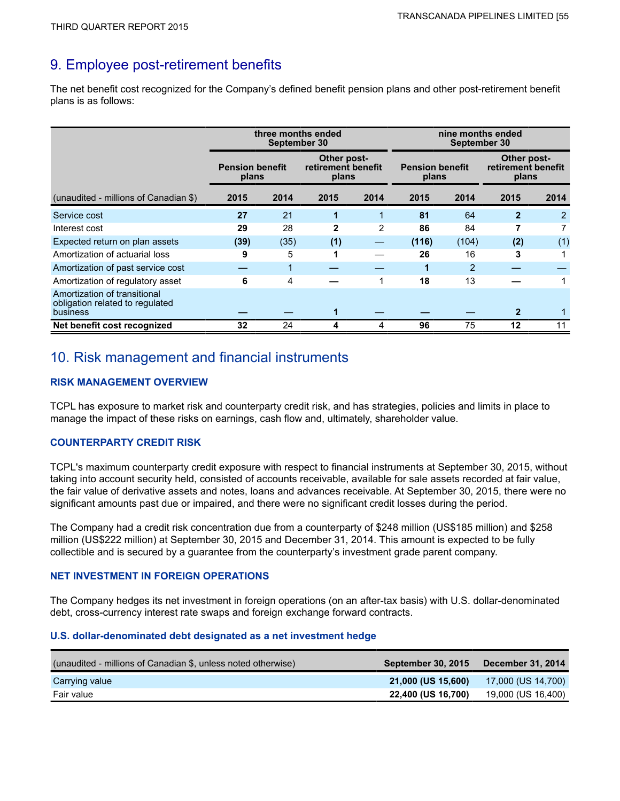## 9. Employee post-retirement benefits

The net benefit cost recognized for the Company's defined benefit pension plans and other post-retirement benefit plans is as follows:

|                                                                             | three months ended<br>September 30 |                                                                               |              | nine months ended<br>September 30 |       |                                            |              |      |
|-----------------------------------------------------------------------------|------------------------------------|-------------------------------------------------------------------------------|--------------|-----------------------------------|-------|--------------------------------------------|--------------|------|
|                                                                             |                                    | Other post-<br>retirement benefit<br><b>Pension benefit</b><br>plans<br>plans |              | <b>Pension benefit</b><br>plans   |       | Other post-<br>retirement benefit<br>plans |              |      |
| (unaudited - millions of Canadian \$)                                       | 2015                               | 2014                                                                          | 2015         | 2014                              | 2015  | 2014                                       | 2015         | 2014 |
| Service cost                                                                | 27                                 | 21                                                                            | 1            | 1                                 | 81    | 64                                         | $\mathbf{2}$ | 2    |
| Interest cost                                                               | 29                                 | 28                                                                            | $\mathbf{2}$ | 2                                 | 86    | 84                                         |              |      |
| Expected return on plan assets                                              | (39)                               | (35)                                                                          | (1)          |                                   | (116) | (104)                                      | (2)          | (1)  |
| Amortization of actuarial loss                                              | 9                                  | 5                                                                             |              |                                   | 26    | 16                                         | 3            |      |
| Amortization of past service cost                                           |                                    | 1                                                                             |              |                                   | 1     | $\overline{2}$                             |              |      |
| Amortization of regulatory asset                                            | 6                                  | 4                                                                             |              | 1                                 | 18    | 13                                         |              |      |
| Amortization of transitional<br>obligation related to regulated<br>business |                                    |                                                                               |              |                                   |       |                                            |              |      |
| Net benefit cost recognized                                                 | 32                                 | 24                                                                            |              | 4                                 | 96    | 75                                         | 12           | 11   |

## 10. Risk management and financial instruments

## **RISK MANAGEMENT OVERVIEW**

TCPL has exposure to market risk and counterparty credit risk, and has strategies, policies and limits in place to manage the impact of these risks on earnings, cash flow and, ultimately, shareholder value.

## **COUNTERPARTY CREDIT RISK**

TCPL's maximum counterparty credit exposure with respect to financial instruments at September 30, 2015, without taking into account security held, consisted of accounts receivable, available for sale assets recorded at fair value, the fair value of derivative assets and notes, loans and advances receivable. At September 30, 2015, there were no significant amounts past due or impaired, and there were no significant credit losses during the period.

The Company had a credit risk concentration due from a counterparty of \$248 million (US\$185 million) and \$258 million (US\$222 million) at September 30, 2015 and December 31, 2014. This amount is expected to be fully collectible and is secured by a guarantee from the counterparty's investment grade parent company.

## **NET INVESTMENT IN FOREIGN OPERATIONS**

The Company hedges its net investment in foreign operations (on an after-tax basis) with U.S. dollar-denominated debt, cross-currency interest rate swaps and foreign exchange forward contracts.

## **U.S. dollar-denominated debt designated as a net investment hedge**

| (unaudited - millions of Canadian \$, unless noted otherwise) | September 30, 2015        | <b>December 31, 2014</b> |
|---------------------------------------------------------------|---------------------------|--------------------------|
| Carrying value                                                | 21,000 (US 15,600)        | 17,000 (US 14,700)       |
| Fair value                                                    | <b>22,400 (US 16,700)</b> | 19,000 (US 16,400)       |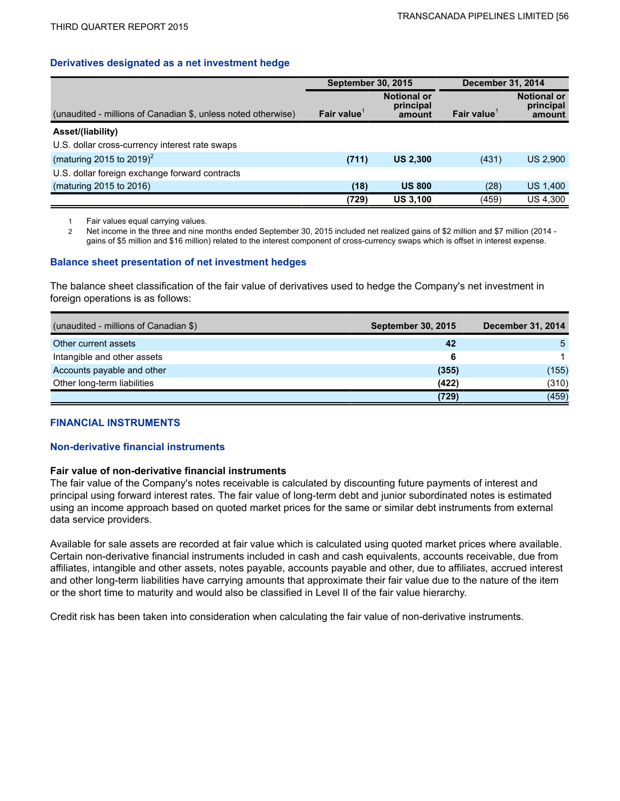### **Derivatives designated as a net investment hedge**

|                                                               | <b>September 30, 2015</b> |                                           | <b>December 31, 2014</b> |                                           |  |
|---------------------------------------------------------------|---------------------------|-------------------------------------------|--------------------------|-------------------------------------------|--|
| (unaudited - millions of Canadian \$, unless noted otherwise) | Fair value                | <b>Notional or</b><br>principal<br>amount | Fair value               | <b>Notional or</b><br>principal<br>amount |  |
| Asset/(liability)                                             |                           |                                           |                          |                                           |  |
| U.S. dollar cross-currency interest rate swaps                |                           |                                           |                          |                                           |  |
| (maturing 2015 to 2019) <sup>2</sup>                          | (711)                     | <b>US 2.300</b>                           | (431)                    | <b>US 2,900</b>                           |  |
| U.S. dollar foreign exchange forward contracts                |                           |                                           |                          |                                           |  |
| (maturing 2015 to 2016)                                       | (18)                      | <b>US 800</b>                             | (28)                     | US 1,400                                  |  |
|                                                               | (729)                     | <b>US 3,100</b>                           | (459)                    | <b>US 4,300</b>                           |  |

1 Fair values equal carrying values.

2 Net income in the three and nine months ended September 30, 2015 included net realized gains of \$2 million and \$7 million (2014 gains of \$5 million and \$16 million) related to the interest component of cross-currency swaps which is offset in interest expense.

### **Balance sheet presentation of net investment hedges**

The balance sheet classification of the fair value of derivatives used to hedge the Company's net investment in foreign operations is as follows:

| (unaudited - millions of Canadian \$) | September 30, 2015 | <b>December 31, 2014</b> |
|---------------------------------------|--------------------|--------------------------|
| Other current assets                  | 42                 | 5.                       |
| Intangible and other assets           | 6                  |                          |
| Accounts payable and other            | (355)              | (155)                    |
| Other long-term liabilities           | (422)              | (310)                    |
|                                       | (729)              | (459)                    |

### **FINANCIAL INSTRUMENTS**

### **Non-derivative financial instruments**

### **Fair value of non-derivative financial instruments**

The fair value of the Company's notes receivable is calculated by discounting future payments of interest and principal using forward interest rates. The fair value of long-term debt and junior subordinated notes is estimated using an income approach based on quoted market prices for the same or similar debt instruments from external data service providers.

Available for sale assets are recorded at fair value which is calculated using quoted market prices where available. Certain non-derivative financial instruments included in cash and cash equivalents, accounts receivable, due from affiliates, intangible and other assets, notes payable, accounts payable and other, due to affiliates, accrued interest and other long-term liabilities have carrying amounts that approximate their fair value due to the nature of the item or the short time to maturity and would also be classified in Level II of the fair value hierarchy.

Credit risk has been taken into consideration when calculating the fair value of non-derivative instruments.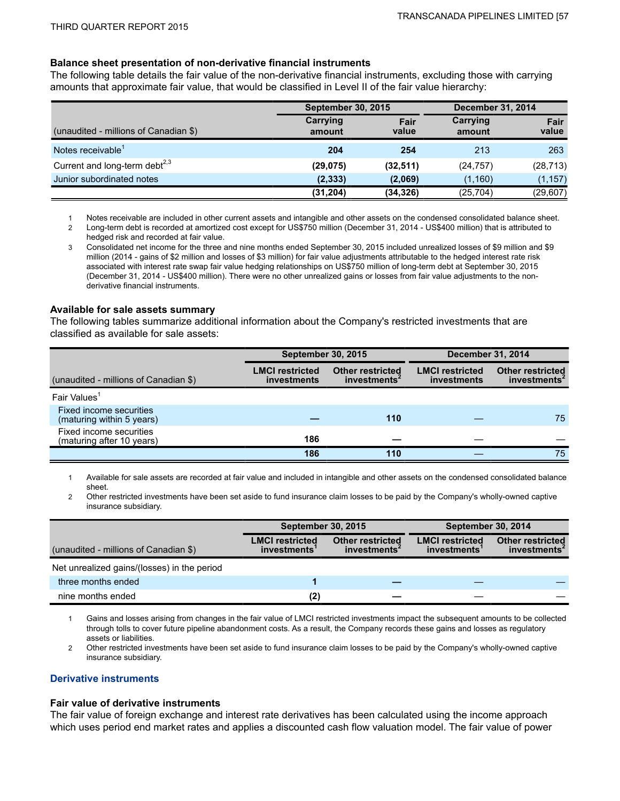### **Balance sheet presentation of non-derivative financial instruments**

The following table details the fair value of the non-derivative financial instruments, excluding those with carrying amounts that approximate fair value, that would be classified in Level II of the fair value hierarchy:

|                                           | <b>September 30, 2015</b> |               | <b>December 31, 2014</b> |               |  |
|-------------------------------------------|---------------------------|---------------|--------------------------|---------------|--|
| (unaudited - millions of Canadian \$)     | Carrying<br>amount        | Fair<br>value | Carrying<br>amount       | Fair<br>value |  |
| Notes receivable <sup>1</sup>             | 204                       | 254           | 213                      | 263           |  |
| Current and long-term debt <sup>2,3</sup> | (29, 075)                 | (32, 511)     | (24, 757)                | (28, 713)     |  |
| Junior subordinated notes                 | (2, 333)                  | (2,069)       | (1, 160)                 | (1, 157)      |  |
|                                           | (31, 204)                 | (34, 326)     | (25, 704)                | (29, 607)     |  |

1 Notes receivable are included in other current assets and intangible and other assets on the condensed consolidated balance sheet.

2 Long-term debt is recorded at amortized cost except for US\$750 million (December 31, 2014 - US\$400 million) that is attributed to hedged risk and recorded at fair value.

3 Consolidated net income for the three and nine months ended September 30, 2015 included unrealized losses of \$9 million and \$9 million (2014 - gains of \$2 million and losses of \$3 million) for fair value adjustments attributable to the hedged interest rate risk associated with interest rate swap fair value hedging relationships on US\$750 million of long-term debt at September 30, 2015 (December 31, 2014 - US\$400 million). There were no other unrealized gains or losses from fair value adjustments to the nonderivative financial instruments.

#### **Available for sale assets summary**

The following tables summarize additional information about the Company's restricted investments that are classified as available for sale assets:

|                                                      | <b>September 30, 2015</b>             |                                                     | <b>December 31, 2014</b>              |                                                     |  |
|------------------------------------------------------|---------------------------------------|-----------------------------------------------------|---------------------------------------|-----------------------------------------------------|--|
| (unaudited - millions of Canadian \$)                | <b>LMCI restricted</b><br>investments | <b>Other restricted</b><br>investments <sup>4</sup> | <b>LMCI</b> restricted<br>investments | <b>Other restricted</b><br>investments <sup>2</sup> |  |
| Fair Values <sup>1</sup>                             |                                       |                                                     |                                       |                                                     |  |
| Fixed income securities<br>(maturing within 5 years) |                                       | 110                                                 |                                       | 75                                                  |  |
| Fixed income securities<br>(maturing after 10 years) | 186                                   |                                                     |                                       |                                                     |  |
|                                                      | 186                                   | 110                                                 |                                       | 75                                                  |  |

1 Available for sale assets are recorded at fair value and included in intangible and other assets on the condensed consolidated balance sheet.

2 Other restricted investments have been set aside to fund insurance claim losses to be paid by the Company's wholly-owned captive insurance subsidiary.

|                                             | <b>September 30, 2015</b>                    |                                                     | <b>September 30, 2014</b>                    |                                                     |  |
|---------------------------------------------|----------------------------------------------|-----------------------------------------------------|----------------------------------------------|-----------------------------------------------------|--|
| (unaudited - millions of Canadian \$)       | <b>LMCI restricted</b><br><b>investments</b> | <b>Other restricted</b><br>investments <sup>4</sup> | <b>LMCI</b> restricted<br><i>investments</i> | <b>Other restricted</b><br>investments <sup>2</sup> |  |
| Net unrealized gains/(losses) in the period |                                              |                                                     |                                              |                                                     |  |
| three months ended                          |                                              |                                                     |                                              |                                                     |  |
| nine months ended                           | (2)                                          |                                                     |                                              |                                                     |  |

1 Gains and losses arising from changes in the fair value of LMCI restricted investments impact the subsequent amounts to be collected through tolls to cover future pipeline abandonment costs. As a result, the Company records these gains and losses as regulatory assets or liabilities.

2 Other restricted investments have been set aside to fund insurance claim losses to be paid by the Company's wholly-owned captive insurance subsidiary.

### **Derivative instruments**

#### **Fair value of derivative instruments**

The fair value of foreign exchange and interest rate derivatives has been calculated using the income approach which uses period end market rates and applies a discounted cash flow valuation model. The fair value of power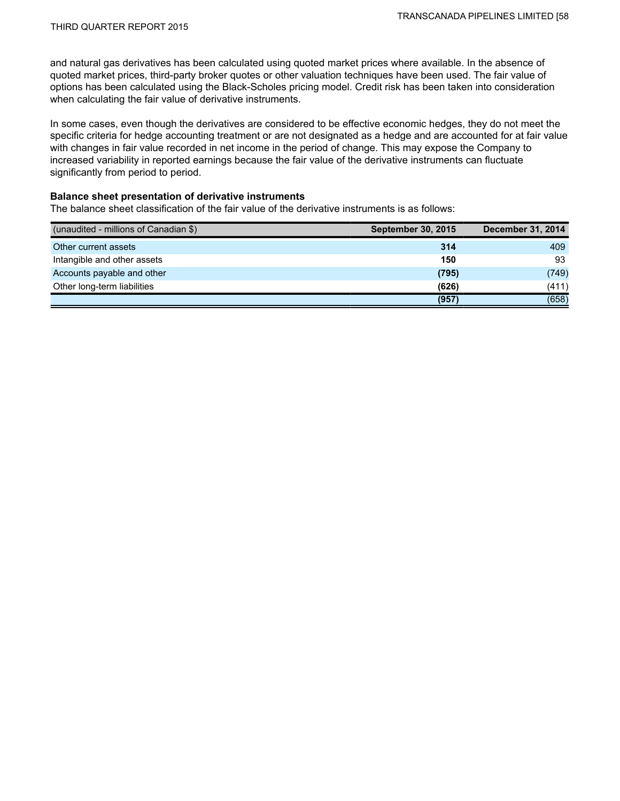and natural gas derivatives has been calculated using quoted market prices where available. In the absence of quoted market prices, third-party broker quotes or other valuation techniques have been used. The fair value of options has been calculated using the Black-Scholes pricing model. Credit risk has been taken into consideration when calculating the fair value of derivative instruments.

In some cases, even though the derivatives are considered to be effective economic hedges, they do not meet the specific criteria for hedge accounting treatment or are not designated as a hedge and are accounted for at fair value with changes in fair value recorded in net income in the period of change. This may expose the Company to increased variability in reported earnings because the fair value of the derivative instruments can fluctuate significantly from period to period.

### **Balance sheet presentation of derivative instruments**

The balance sheet classification of the fair value of the derivative instruments is as follows:

| (unaudited - millions of Canadian \$) | <b>September 30, 2015</b> | <b>December 31, 2014</b> |
|---------------------------------------|---------------------------|--------------------------|
| Other current assets                  | 314                       | 409                      |
| Intangible and other assets           | 150                       | 93                       |
| Accounts payable and other            | (795)                     | (749)                    |
| Other long-term liabilities           | (626)                     | (411)                    |
|                                       | (957)                     | (658)                    |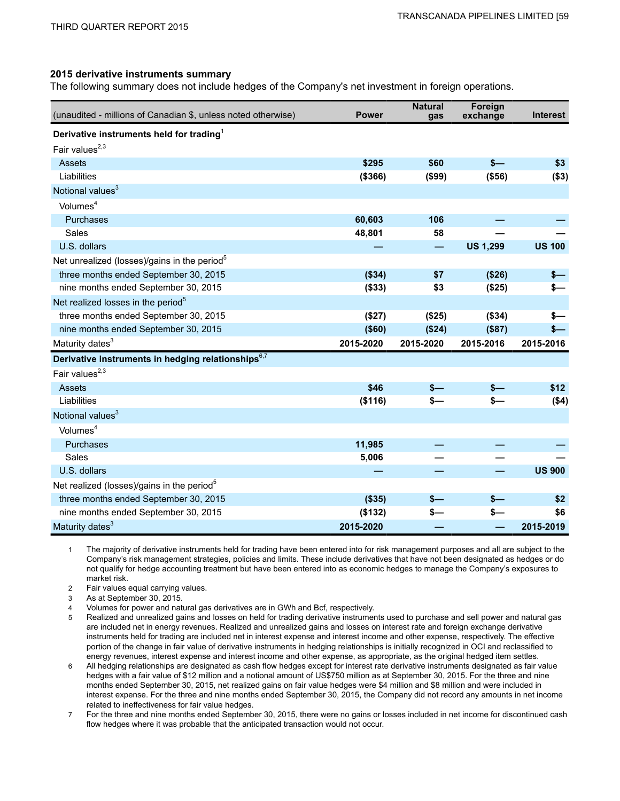#### **2015 derivative instruments summary**

The following summary does not include hedges of the Company's net investment in foreign operations.

| (unaudited - millions of Canadian \$, unless noted otherwise)  | <b>Power</b> | <b>Natural</b><br>gas    | Foreign<br>exchange | <b>Interest</b> |
|----------------------------------------------------------------|--------------|--------------------------|---------------------|-----------------|
| Derivative instruments held for trading <sup>1</sup>           |              |                          |                     |                 |
| Fair values <sup>2,3</sup>                                     |              |                          |                     |                 |
| Assets                                                         | \$295        | \$60                     | $s-$                | \$3             |
| Liabilities                                                    | (\$366)      | (\$99)                   | (\$56)              | ( \$3)          |
| Notional values <sup>3</sup>                                   |              |                          |                     |                 |
| Volumes <sup>4</sup>                                           |              |                          |                     |                 |
| Purchases                                                      | 60,603       | 106                      |                     |                 |
| Sales                                                          | 48,801       | 58                       |                     |                 |
| U.S. dollars                                                   |              | $\overline{\phantom{0}}$ | <b>US 1,299</b>     | <b>US 100</b>   |
| Net unrealized (losses)/gains in the period <sup>5</sup>       |              |                          |                     |                 |
| three months ended September 30, 2015                          | (\$34)       | \$7                      | (\$26)              | $s-$            |
| nine months ended September 30, 2015                           | ( \$33)      | \$3                      | (\$25)              | \$—             |
| Net realized losses in the period <sup>5</sup>                 |              |                          |                     |                 |
| three months ended September 30, 2015                          | (\$27)       | (\$25)                   | (\$34)              | s—              |
| nine months ended September 30, 2015                           | ( \$60)      | (\$24)                   | (\$87)              | \$—             |
| Maturity dates <sup>3</sup>                                    | 2015-2020    | 2015-2020                | 2015-2016           | 2015-2016       |
| Derivative instruments in hedging relationships <sup>6,7</sup> |              |                          |                     |                 |
| Fair values $^{2,3}$                                           |              |                          |                     |                 |
| Assets                                                         | \$46         | $s-$                     |                     | \$12            |
| Liabilities                                                    | (\$116)      | $s-$                     | $s-$                | ( \$4)          |
| Notional values <sup>3</sup>                                   |              |                          |                     |                 |
| Volumes <sup>4</sup>                                           |              |                          |                     |                 |
| Purchases                                                      | 11,985       |                          |                     |                 |
| Sales                                                          | 5,006        |                          |                     |                 |
| U.S. dollars                                                   |              |                          |                     | <b>US 900</b>   |
| Net realized (losses)/gains in the period <sup>5</sup>         |              |                          |                     |                 |
| three months ended September 30, 2015                          | (\$35)       | $s-$                     | $s-$                | \$2             |
| nine months ended September 30, 2015                           | (\$132)      | \$—                      | s—                  | \$6             |
| Maturity dates <sup>3</sup>                                    | 2015-2020    |                          |                     | 2015-2019       |

1 The majority of derivative instruments held for trading have been entered into for risk management purposes and all are subject to the Company's risk management strategies, policies and limits. These include derivatives that have not been designated as hedges or do not qualify for hedge accounting treatment but have been entered into as economic hedges to manage the Company's exposures to market risk.

2 Fair values equal carrying values.

3 As at September 30, 2015.

4 Volumes for power and natural gas derivatives are in GWh and Bcf, respectively.

5 Realized and unrealized gains and losses on held for trading derivative instruments used to purchase and sell power and natural gas are included net in energy revenues. Realized and unrealized gains and losses on interest rate and foreign exchange derivative instruments held for trading are included net in interest expense and interest income and other expense, respectively. The effective portion of the change in fair value of derivative instruments in hedging relationships is initially recognized in OCI and reclassified to energy revenues, interest expense and interest income and other expense, as appropriate, as the original hedged item settles.

6 All hedging relationships are designated as cash flow hedges except for interest rate derivative instruments designated as fair value hedges with a fair value of \$12 million and a notional amount of US\$750 million as at September 30, 2015. For the three and nine months ended September 30, 2015, net realized gains on fair value hedges were \$4 million and \$8 million and were included in interest expense. For the three and nine months ended September 30, 2015, the Company did not record any amounts in net income related to ineffectiveness for fair value hedges.

7 For the three and nine months ended September 30, 2015, there were no gains or losses included in net income for discontinued cash flow hedges where it was probable that the anticipated transaction would not occur.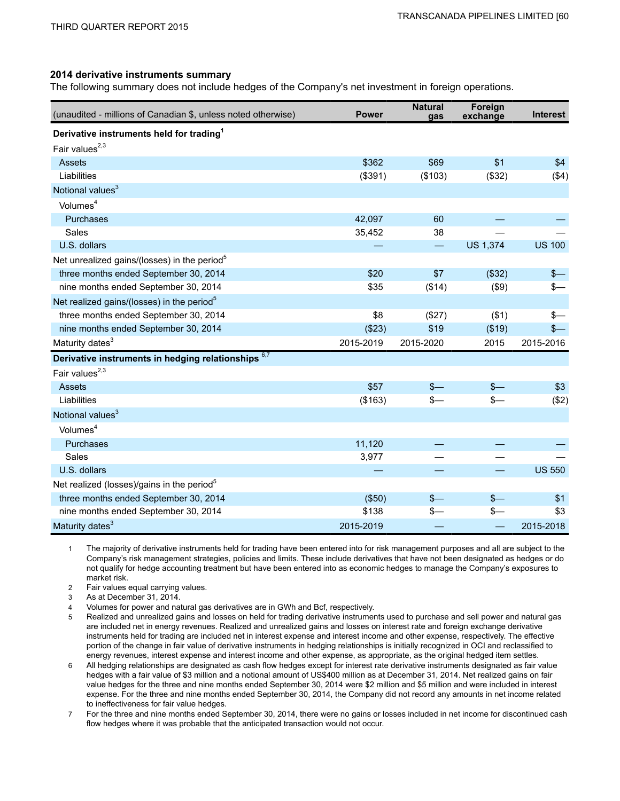#### **2014 derivative instruments summary**

The following summary does not include hedges of the Company's net investment in foreign operations.

| (unaudited - millions of Canadian \$, unless noted otherwise) | <b>Power</b> | <b>Natural</b><br>gas    | Foreign<br>exchange | <b>Interest</b> |
|---------------------------------------------------------------|--------------|--------------------------|---------------------|-----------------|
| Derivative instruments held for trading <sup>1</sup>          |              |                          |                     |                 |
| Fair values $^{2,3}$                                          |              |                          |                     |                 |
| Assets                                                        | \$362        | \$69                     | \$1                 | \$4             |
| Liabilities                                                   | (\$391)      | (\$103)                  | (\$32)              | (\$4)           |
| Notional values <sup>3</sup>                                  |              |                          |                     |                 |
| Volumes <sup>4</sup>                                          |              |                          |                     |                 |
| Purchases                                                     | 42,097       | 60                       |                     |                 |
| Sales                                                         | 35,452       | 38                       |                     |                 |
| U.S. dollars                                                  |              | $\overline{\phantom{0}}$ | <b>US 1,374</b>     | <b>US 100</b>   |
| Net unrealized gains/(losses) in the period <sup>5</sup>      |              |                          |                     |                 |
| three months ended September 30, 2014                         | \$20         | \$7                      | (\$32)              | $s-$            |
| nine months ended September 30, 2014                          | \$35         | (\$14)                   | (\$9)               | $s-$            |
| Net realized gains/(losses) in the period <sup>5</sup>        |              |                          |                     |                 |
| three months ended September 30, 2014                         | \$8          | (\$27)                   | ( \$1)              | $s-$            |
| nine months ended September 30, 2014                          | (\$23)       | \$19                     | (\$19)              | $s-$            |
| Maturity dates <sup>3</sup>                                   | 2015-2019    | 2015-2020                | 2015                | 2015-2016       |
| Derivative instruments in hedging relationships 6,7           |              |                          |                     |                 |
| Fair values <sup>2,3</sup>                                    |              |                          |                     |                 |
| Assets                                                        | \$57         | $\frac{2}{2}$            | $S-$                | \$3             |
| Liabilities                                                   | (\$163)      | $\frac{2}{2}$            | $s-$                | (\$2)           |
| Notional values <sup>3</sup>                                  |              |                          |                     |                 |
| Volumes <sup>4</sup>                                          |              |                          |                     |                 |
| Purchases                                                     | 11,120       |                          |                     |                 |
| Sales                                                         | 3,977        |                          |                     |                 |
| U.S. dollars                                                  |              |                          |                     | <b>US 550</b>   |
| Net realized (losses)/gains in the period <sup>5</sup>        |              |                          |                     |                 |
| three months ended September 30, 2014                         | (\$50)       | $s-$                     | $s-$                | \$1             |
| nine months ended September 30, 2014                          | \$138        | \$—                      | $s-$                | \$3             |
| Maturity dates <sup>3</sup>                                   | 2015-2019    |                          |                     | 2015-2018       |

1 The majority of derivative instruments held for trading have been entered into for risk management purposes and all are subject to the Company's risk management strategies, policies and limits. These include derivatives that have not been designated as hedges or do not qualify for hedge accounting treatment but have been entered into as economic hedges to manage the Company's exposures to market risk.

2 Fair values equal carrying values.

3 As at December 31, 2014.

4 Volumes for power and natural gas derivatives are in GWh and Bcf, respectively.

5 Realized and unrealized gains and losses on held for trading derivative instruments used to purchase and sell power and natural gas are included net in energy revenues. Realized and unrealized gains and losses on interest rate and foreign exchange derivative instruments held for trading are included net in interest expense and interest income and other expense, respectively. The effective portion of the change in fair value of derivative instruments in hedging relationships is initially recognized in OCI and reclassified to energy revenues, interest expense and interest income and other expense, as appropriate, as the original hedged item settles.

6 All hedging relationships are designated as cash flow hedges except for interest rate derivative instruments designated as fair value hedges with a fair value of \$3 million and a notional amount of US\$400 million as at December 31, 2014. Net realized gains on fair value hedges for the three and nine months ended September 30, 2014 were \$2 million and \$5 million and were included in interest expense. For the three and nine months ended September 30, 2014, the Company did not record any amounts in net income related to ineffectiveness for fair value hedges.

7 For the three and nine months ended September 30, 2014, there were no gains or losses included in net income for discontinued cash flow hedges where it was probable that the anticipated transaction would not occur.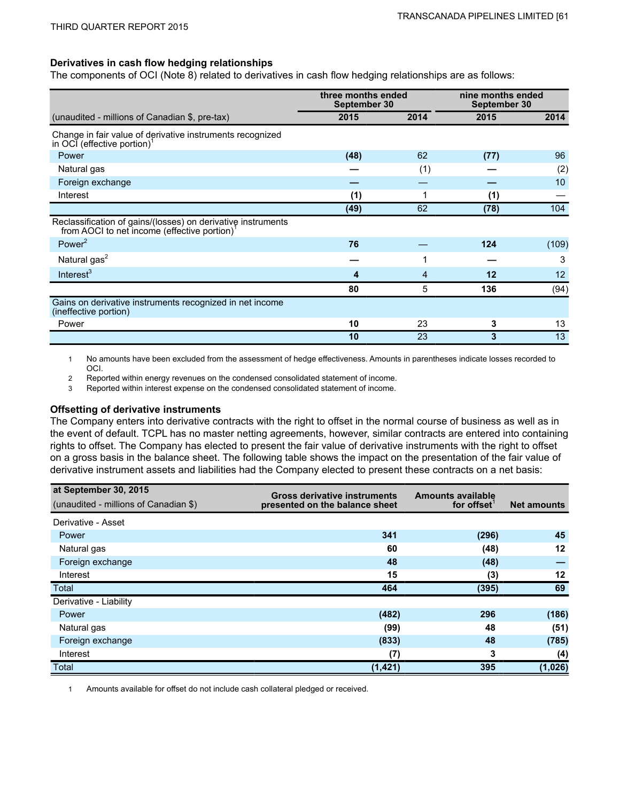### **Derivatives in cash flow hedging relationships**

The components of OCI (Note 8) related to derivatives in cash flow hedging relationships are as follows:

|                                                                                                                          | three months ended<br>September 30 |      | nine months ended<br>September 30 |                 |
|--------------------------------------------------------------------------------------------------------------------------|------------------------------------|------|-----------------------------------|-----------------|
| (unaudited - millions of Canadian \$, pre-tax)                                                                           | 2015                               | 2014 | 2015                              | 2014            |
| Change in fair value of derivative instruments recognized<br>in OCI (effective portion) <sup>1</sup>                     |                                    |      |                                   |                 |
| Power                                                                                                                    | (48)                               | 62   | (77)                              | 96              |
| Natural gas                                                                                                              |                                    | (1)  |                                   | (2)             |
| Foreign exchange                                                                                                         |                                    |      |                                   | 10              |
| Interest                                                                                                                 | (1)                                |      | (1)                               |                 |
|                                                                                                                          | (49)                               | 62   | (78)                              | 104             |
| Reclassification of gains/(losses) on derivative instruments<br>from AOCI to net income (effective portion) <sup>1</sup> |                                    |      |                                   |                 |
| Power $2$                                                                                                                | 76                                 |      | 124                               | (109)           |
| Natural gas <sup>2</sup>                                                                                                 |                                    |      |                                   | 3               |
| Interest $3$                                                                                                             | 4                                  | 4    | 12                                | 12 <sup>2</sup> |
|                                                                                                                          | 80                                 | 5    | 136                               | (94)            |
| Gains on derivative instruments recognized in net income<br>(ineffective portion)                                        |                                    |      |                                   |                 |
| Power                                                                                                                    | 10                                 | 23   | 3                                 | 13              |
|                                                                                                                          | 10                                 | 23   | 3                                 | 13              |

1 No amounts have been excluded from the assessment of hedge effectiveness. Amounts in parentheses indicate losses recorded to OCI.

2 Reported within energy revenues on the condensed consolidated statement of income.

3 Reported within interest expense on the condensed consolidated statement of income.

#### **Offsetting of derivative instruments**

The Company enters into derivative contracts with the right to offset in the normal course of business as well as in the event of default. TCPL has no master netting agreements, however, similar contracts are entered into containing rights to offset. The Company has elected to present the fair value of derivative instruments with the right to offset on a gross basis in the balance sheet. The following table shows the impact on the presentation of the fair value of derivative instrument assets and liabilities had the Company elected to present these contracts on a net basis:

| at September 30, 2015<br>(unaudited - millions of Canadian \$) | <b>Gross derivative instruments</b><br>presented on the balance sheet | <b>Amounts available</b><br>for offset | <b>Net amounts</b> |
|----------------------------------------------------------------|-----------------------------------------------------------------------|----------------------------------------|--------------------|
| Derivative - Asset                                             |                                                                       |                                        |                    |
| Power                                                          | 341                                                                   | (296)                                  | 45                 |
| Natural gas                                                    | 60                                                                    | (48)                                   | $12 \,$            |
| Foreign exchange                                               | 48                                                                    | (48)                                   |                    |
| Interest                                                       | 15                                                                    | (3)                                    | $12 \,$            |
| Total                                                          | 464                                                                   | (395)                                  | 69                 |
| Derivative - Liability                                         |                                                                       |                                        |                    |
| Power                                                          | (482)                                                                 | 296                                    | (186)              |
| Natural gas                                                    | (99)                                                                  | 48                                     | (51)               |
| Foreign exchange                                               | (833)                                                                 | 48                                     | (785)              |
| Interest                                                       | (7)                                                                   | 3                                      | (4)                |
| Total                                                          | (1, 421)                                                              | 395                                    | (1,026)            |

1 Amounts available for offset do not include cash collateral pledged or received.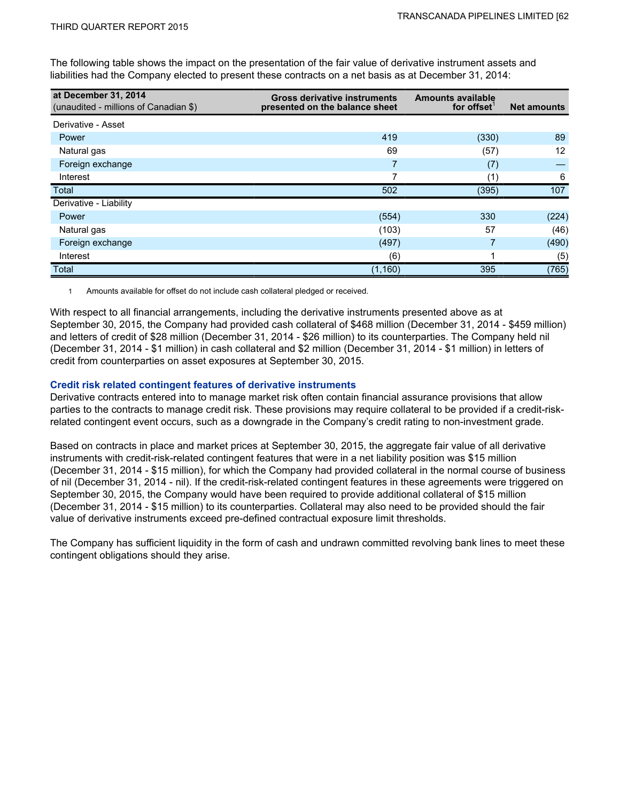The following table shows the impact on the presentation of the fair value of derivative instrument assets and liabilities had the Company elected to present these contracts on a net basis as at December 31, 2014:

| at December 31, 2014<br>(unaudited - millions of Canadian \$) | <b>Gross derivative instruments</b><br>presented on the balance sheet | <b>Amounts available</b><br>for offset | <b>Net amounts</b> |
|---------------------------------------------------------------|-----------------------------------------------------------------------|----------------------------------------|--------------------|
| Derivative - Asset                                            |                                                                       |                                        |                    |
| Power                                                         | 419                                                                   | (330)                                  | 89                 |
| Natural gas                                                   | 69                                                                    | (57)                                   | 12                 |
| Foreign exchange                                              |                                                                       | (7)                                    |                    |
| Interest                                                      | 7                                                                     | (1)                                    | 6                  |
| Total                                                         | 502                                                                   | (395)                                  | 107                |
| Derivative - Liability                                        |                                                                       |                                        |                    |
| Power                                                         | (554)                                                                 | 330                                    | (224)              |
| Natural gas                                                   | (103)                                                                 | 57                                     | (46)               |
| Foreign exchange                                              | (497)                                                                 |                                        | (490)              |
| Interest                                                      | (6)                                                                   |                                        | (5)                |
| Total                                                         | (1, 160)                                                              | 395                                    | (765)              |

1 Amounts available for offset do not include cash collateral pledged or received.

With respect to all financial arrangements, including the derivative instruments presented above as at September 30, 2015, the Company had provided cash collateral of \$468 million (December 31, 2014 - \$459 million) and letters of credit of \$28 million (December 31, 2014 - \$26 million) to its counterparties. The Company held nil (December 31, 2014 - \$1 million) in cash collateral and \$2 million (December 31, 2014 - \$1 million) in letters of credit from counterparties on asset exposures at September 30, 2015.

### **Credit risk related contingent features of derivative instruments**

Derivative contracts entered into to manage market risk often contain financial assurance provisions that allow parties to the contracts to manage credit risk. These provisions may require collateral to be provided if a credit-riskrelated contingent event occurs, such as a downgrade in the Company's credit rating to non-investment grade.

Based on contracts in place and market prices at September 30, 2015, the aggregate fair value of all derivative instruments with credit-risk-related contingent features that were in a net liability position was \$15 million (December 31, 2014 - \$15 million), for which the Company had provided collateral in the normal course of business of nil (December 31, 2014 - nil). If the credit-risk-related contingent features in these agreements were triggered on September 30, 2015, the Company would have been required to provide additional collateral of \$15 million (December 31, 2014 - \$15 million) to its counterparties. Collateral may also need to be provided should the fair value of derivative instruments exceed pre-defined contractual exposure limit thresholds.

The Company has sufficient liquidity in the form of cash and undrawn committed revolving bank lines to meet these contingent obligations should they arise.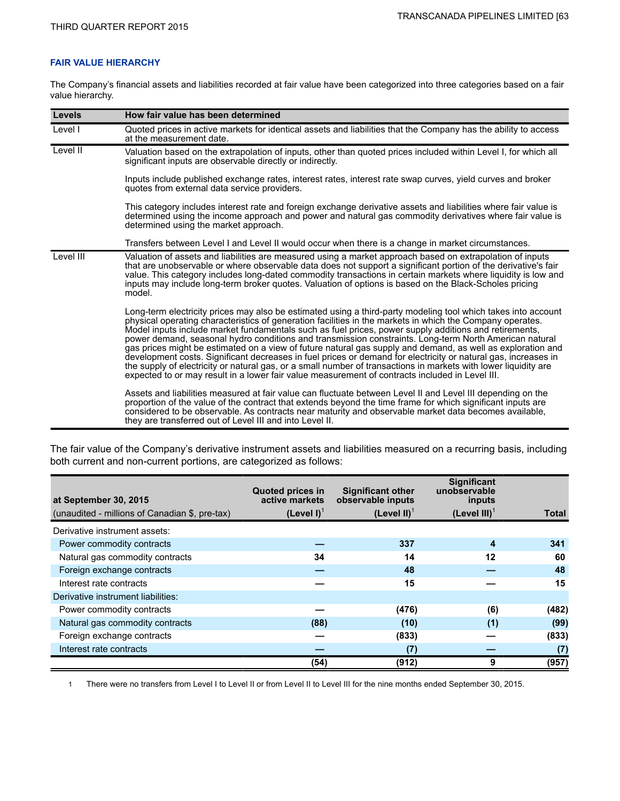### **FAIR VALUE HIERARCHY**

The Company's financial assets and liabilities recorded at fair value have been categorized into three categories based on a fair value hierarchy.

| <b>Levels</b> | How fair value has been determined                                                                                                                                                                                                                                                                                                                                                                                                                                                                                                                                                                                                                                                                                                                                                                                                                                                                                                                                                                                  |
|---------------|---------------------------------------------------------------------------------------------------------------------------------------------------------------------------------------------------------------------------------------------------------------------------------------------------------------------------------------------------------------------------------------------------------------------------------------------------------------------------------------------------------------------------------------------------------------------------------------------------------------------------------------------------------------------------------------------------------------------------------------------------------------------------------------------------------------------------------------------------------------------------------------------------------------------------------------------------------------------------------------------------------------------|
| Level I       | Quoted prices in active markets for identical assets and liabilities that the Company has the ability to access<br>at the measurement date.                                                                                                                                                                                                                                                                                                                                                                                                                                                                                                                                                                                                                                                                                                                                                                                                                                                                         |
| Level II      | Valuation based on the extrapolation of inputs, other than quoted prices included within Level I, for which all<br>significant inputs are observable directly or indirectly.                                                                                                                                                                                                                                                                                                                                                                                                                                                                                                                                                                                                                                                                                                                                                                                                                                        |
|               | Inputs include published exchange rates, interest rates, interest rate swap curves, yield curves and broker<br>quotes from external data service providers.                                                                                                                                                                                                                                                                                                                                                                                                                                                                                                                                                                                                                                                                                                                                                                                                                                                         |
|               | This category includes interest rate and foreign exchange derivative assets and liabilities where fair value is<br>determined using the income approach and power and natural gas commodity derivatives where fair value is<br>determined using the market approach.                                                                                                                                                                                                                                                                                                                                                                                                                                                                                                                                                                                                                                                                                                                                                |
|               | Transfers between Level I and Level II would occur when there is a change in market circumstances.                                                                                                                                                                                                                                                                                                                                                                                                                                                                                                                                                                                                                                                                                                                                                                                                                                                                                                                  |
| Level III     | Valuation of assets and liabilities are measured using a market approach based on extrapolation of inputs<br>that are unobservable or where observable data does not support a significant portion of the derivative's fair<br>value. This category includes long-dated commodity transactions in certain markets where liquidity is low and<br>inputs may include long-term broker quotes. Valuation of options is based on the Black-Scholes pricing<br>model.                                                                                                                                                                                                                                                                                                                                                                                                                                                                                                                                                    |
|               | Long-term electricity prices may also be estimated using a third-party modeling tool which takes into account<br>physical operating characteristics of generation facilities in the markets in which the Company operates.<br>Model inputs include market fundamentals such as fuel prices, power supply additions and retirements,<br>power demand, seasonal hydro conditions and transmission constraints. Long-term North American natural<br>gas prices might be estimated on a view of future natural gas supply and demand, as well as exploration and<br>development costs. Significant decreases in fuel prices or demand for electricity or natural gas, increases in<br>the supply of electricity or natural gas, or a small number of transactions in markets with lower liquidity are<br>expected to or may result in a lower fair value measurement of contracts included in Level III.<br>Assets and liabilities measured at fair value can fluctuate between Level II and Level III depending on the |
|               | proportion of the value of the contract that extends beyond the time frame for which significant inputs are<br>considered to be observable. As contracts near maturity and observable market data becomes available,<br>they are transferred out of Level III and into Level II.                                                                                                                                                                                                                                                                                                                                                                                                                                                                                                                                                                                                                                                                                                                                    |

The fair value of the Company's derivative instrument assets and liabilities measured on a recurring basis, including both current and non-current portions, are categorized as follows:

| at September 30, 2015                          | <b>Quoted prices in</b><br>active markets | <b>Significant other</b><br>observable inputs | <b>Significant</b><br>unobservable<br>inputs |       |
|------------------------------------------------|-------------------------------------------|-----------------------------------------------|----------------------------------------------|-------|
| (unaudited - millions of Canadian \$, pre-tax) | $(Level I)^T$                             | (Level $II$ ) <sup>1</sup>                    | (Level $III$ ) <sup>1</sup>                  | Total |
| Derivative instrument assets:                  |                                           |                                               |                                              |       |
| Power commodity contracts                      |                                           | 337                                           | 4                                            | 341   |
| Natural gas commodity contracts                | 34                                        | 14                                            | 12                                           | 60    |
| Foreign exchange contracts                     |                                           | 48                                            |                                              | 48    |
| Interest rate contracts                        |                                           | 15                                            |                                              | 15    |
| Derivative instrument liabilities:             |                                           |                                               |                                              |       |
| Power commodity contracts                      |                                           | (476)                                         | (6)                                          | (482) |
| Natural gas commodity contracts                | (88)                                      | (10)                                          | (1)                                          | (99)  |
| Foreign exchange contracts                     |                                           | (833)                                         |                                              | (833) |
| Interest rate contracts                        |                                           | (7)                                           |                                              | (7)   |
|                                                | (54)                                      | (912)                                         | 9                                            | (957) |

1 There were no transfers from Level I to Level II or from Level II to Level III for the nine months ended September 30, 2015.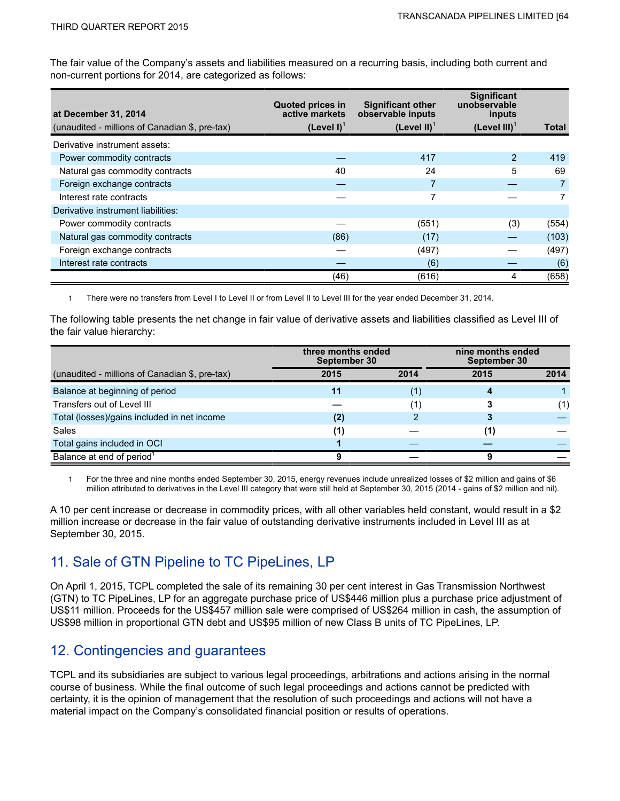The fair value of the Company's assets and liabilities measured on a recurring basis, including both current and non-current portions for 2014, are categorized as follows:

| at December 31, 2014                           | <b>Quoted prices in</b><br>active markets | <b>Significant other</b><br>observable inputs | <b>Significant</b><br>unobservable<br>inputs |       |
|------------------------------------------------|-------------------------------------------|-----------------------------------------------|----------------------------------------------|-------|
| (unaudited - millions of Canadian \$, pre-tax) | $(Level I)^T$                             | (Level II) $1$                                | (Level $III$ ) <sup>1</sup>                  | Total |
| Derivative instrument assets:                  |                                           |                                               |                                              |       |
| Power commodity contracts                      |                                           | 417                                           | 2                                            | 419   |
| Natural gas commodity contracts                | 40                                        | 24                                            | 5                                            | 69    |
| Foreign exchange contracts                     |                                           |                                               |                                              |       |
| Interest rate contracts                        |                                           |                                               |                                              |       |
| Derivative instrument liabilities:             |                                           |                                               |                                              |       |
| Power commodity contracts                      |                                           | (551)                                         | (3)                                          | (554) |
| Natural gas commodity contracts                | (86)                                      | (17)                                          |                                              | (103) |
| Foreign exchange contracts                     |                                           | (497)                                         |                                              | (497) |
| Interest rate contracts                        |                                           | (6)                                           |                                              | (6)   |
|                                                | (46)                                      | (616)                                         | 4                                            | (658) |

1 There were no transfers from Level I to Level II or from Level II to Level III for the year ended December 31, 2014.

The following table presents the net change in fair value of derivative assets and liabilities classified as Level III of the fair value hierarchy:

|                                                | three months ended<br>September 30 |      | nine months ended<br>September 30 |      |
|------------------------------------------------|------------------------------------|------|-----------------------------------|------|
| (unaudited - millions of Canadian \$, pre-tax) | 2015                               | 2014 | 2015                              | 2014 |
| Balance at beginning of period                 | 11                                 | (1   |                                   |      |
| Transfers out of Level III                     |                                    |      |                                   | (1)  |
| Total (losses)/gains included in net income    | (2)                                | າ    |                                   |      |
| Sales                                          | (1)                                |      |                                   |      |
| Total gains included in OCI                    |                                    |      |                                   |      |
| Balance at end of period <sup>1</sup>          |                                    |      |                                   |      |

1 For the three and nine months ended September 30, 2015, energy revenues include unrealized losses of \$2 million and gains of \$6 million attributed to derivatives in the Level III category that were still held at September 30, 2015 (2014 - gains of \$2 million and nil).

A 10 per cent increase or decrease in commodity prices, with all other variables held constant, would result in a \$2 million increase or decrease in the fair value of outstanding derivative instruments included in Level III as at September 30, 2015.

## 11. Sale of GTN Pipeline to TC PipeLines, LP

On April 1, 2015, TCPL completed the sale of its remaining 30 per cent interest in Gas Transmission Northwest (GTN) to TC PipeLines, LP for an aggregate purchase price of US\$446 million plus a purchase price adjustment of US\$11 million. Proceeds for the US\$457 million sale were comprised of US\$264 million in cash, the assumption of US\$98 million in proportional GTN debt and US\$95 million of new Class B units of TC PipeLines, LP.

## 12. Contingencies and guarantees

TCPL and its subsidiaries are subject to various legal proceedings, arbitrations and actions arising in the normal course of business. While the final outcome of such legal proceedings and actions cannot be predicted with certainty, it is the opinion of management that the resolution of such proceedings and actions will not have a material impact on the Company's consolidated financial position or results of operations.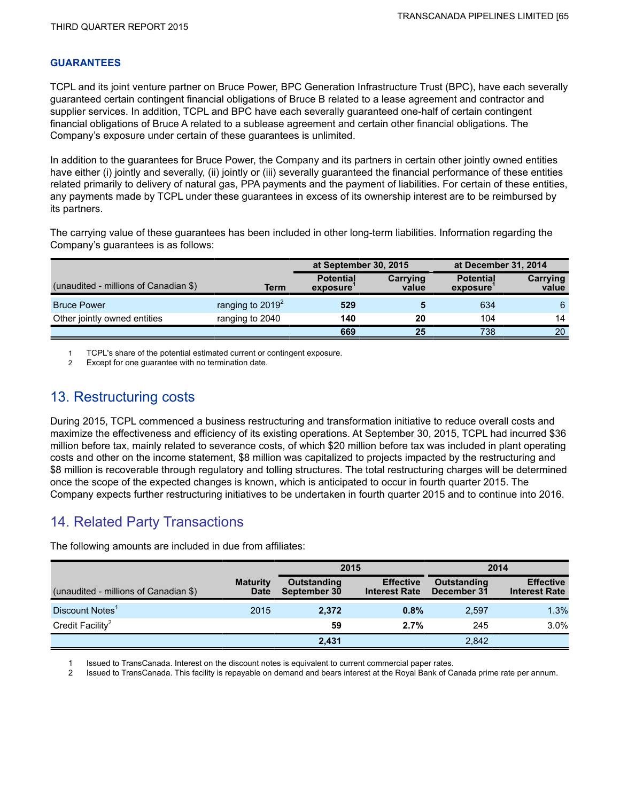### **GUARANTEES**

TCPL and its joint venture partner on Bruce Power, BPC Generation Infrastructure Trust (BPC), have each severally guaranteed certain contingent financial obligations of Bruce B related to a lease agreement and contractor and supplier services. In addition, TCPL and BPC have each severally guaranteed one-half of certain contingent financial obligations of Bruce A related to a sublease agreement and certain other financial obligations. The Company's exposure under certain of these guarantees is unlimited.

In addition to the guarantees for Bruce Power, the Company and its partners in certain other jointly owned entities have either (i) jointly and severally, (ii) jointly or (iii) severally guaranteed the financial performance of these entities related primarily to delivery of natural gas, PPA payments and the payment of liabilities. For certain of these entities, any payments made by TCPL under these guarantees in excess of its ownership interest are to be reimbursed by its partners.

The carrying value of these guarantees has been included in other long-term liabilities. Information regarding the Company's guarantees is as follows:

|                                       |                     | at September 30, 2015        |                   | at December 31, 2014         |                   |
|---------------------------------------|---------------------|------------------------------|-------------------|------------------------------|-------------------|
| (unaudited - millions of Canadian \$) | Term                | <b>Potential</b><br>exposure | Carrying<br>value | <b>Potential</b><br>exposure | Carrying<br>value |
| <b>Bruce Power</b>                    | ranging to $2019^2$ | 529                          |                   | 634                          | 6                 |
| Other jointly owned entities          | ranging to 2040     | 140                          | 20                | 104                          | 14                |
|                                       |                     | 669                          | 25                | 738                          | 20                |

1 TCPL's share of the potential estimated current or contingent exposure.

2 Except for one guarantee with no termination date.

## 13. Restructuring costs

During 2015, TCPL commenced a business restructuring and transformation initiative to reduce overall costs and maximize the effectiveness and efficiency of its existing operations. At September 30, 2015, TCPL had incurred \$36 million before tax, mainly related to severance costs, of which \$20 million before tax was included in plant operating costs and other on the income statement, \$8 million was capitalized to projects impacted by the restructuring and \$8 million is recoverable through regulatory and tolling structures. The total restructuring charges will be determined once the scope of the expected changes is known, which is anticipated to occur in fourth quarter 2015. The Company expects further restructuring initiatives to be undertaken in fourth quarter 2015 and to continue into 2016.

## 14. Related Party Transactions

|                                       |                                | 2015                               |                                          | 2014                              |                                          |
|---------------------------------------|--------------------------------|------------------------------------|------------------------------------------|-----------------------------------|------------------------------------------|
| (unaudited - millions of Canadian \$) | <b>Maturity</b><br><b>Date</b> | <b>Outstanding</b><br>September 30 | <b>Effective</b><br><b>Interest Rate</b> | <b>Outstanding</b><br>December 31 | <b>Effective</b><br><b>Interest Rate</b> |
| Discount Notes <sup>1</sup>           | 2015                           | 2.372                              | 0.8%                                     | 2,597                             | 1.3%                                     |
| Credit Facility <sup>2</sup>          |                                | 59                                 | 2.7%                                     | 245                               | 3.0%                                     |
|                                       |                                | 2.431                              |                                          | 2.842                             |                                          |

The following amounts are included in due from affiliates:

1 Issued to TransCanada. Interest on the discount notes is equivalent to current commercial paper rates.

2 Issued to TransCanada. This facility is repayable on demand and bears interest at the Royal Bank of Canada prime rate per annum.